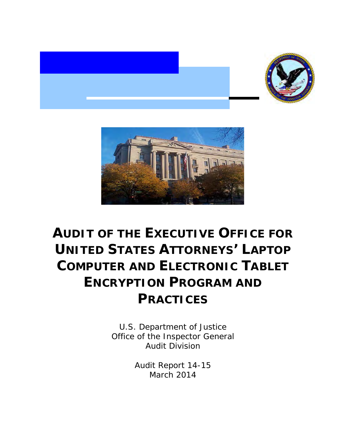



# **AUDIT OF THE EXECUTIVE OFFICE FOR UNITED STATES ATTORNEYS' LAPTOP COMPUTER AND ELECTRONIC TABLET ENCRYPTION PROGRAM AND PRACTICES**

 U.S. Department of Justice Office of the Inspector General Audit Division

> Audit Report 14-15 March 2014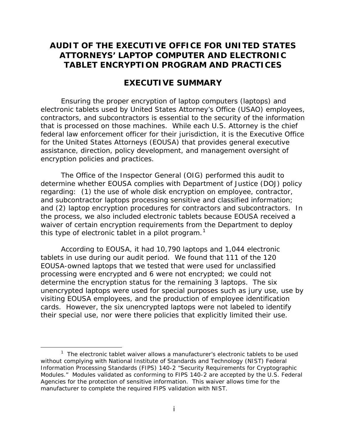# **AUDIT OF THE EXECUTIVE OFFICE FOR UNITED STATES ATTORNEYS' LAPTOP COMPUTER AND ELECTRONIC TABLET ENCRYPTION PROGRAM AND PRACTICES**

## **EXECUTIVE SUMMARY**

 that is processed on those machines. While each U.S. Attorney is the chief assistance, direction, policy development, and management oversight of encryption policies and practices. Ensuring the proper encryption of laptop computers (laptops) and electronic tablets used by United States Attorney's Office (USAO) employees, contractors, and subcontractors is essential to the security of the information federal law enforcement officer for their jurisdiction, it is the Executive Office for the United States Attorneys (EOUSA) that provides general executive

 and (2) laptop encryption procedures for contractors and subcontractors. In this type of electronic tablet in a pilot program.<sup>1</sup> The Office of the Inspector General (OIG) performed this audit to determine whether EOUSA complies with Department of Justice (DOJ) policy regarding: (1) the use of whole disk encryption on employee, contractor, and subcontractor laptops processing sensitive and classified information; the process, we also included electronic tablets because EOUSA received a waiver of certain encryption requirements from the Department to deploy

 According to EOUSA, it had 10,790 laptops and 1,044 electronic tablets in use during our audit period. We found that 111 of the 120 processing were encrypted and 6 were not encrypted; we could not unencrypted laptops were used for special purposes such as jury use, use by cards. However, the six unencrypted laptops were not labeled to identify their special use, nor were there policies that explicitly limited their use. EOUSA-owned laptops that we tested that were used for unclassified determine the encryption status for the remaining 3 laptops. The six visiting EOUSA employees, and the production of employee identification

<span id="page-1-0"></span> $1$  The electronic tablet waiver allows a manufacturer's electronic tablets to be used without complying with National Institute of Standards and Technology (NIST) Federal Information Processing Standards (FIPS) 140-2 "Security Requirements for Cryptographic Modules." Modules validated as conforming to FIPS 140-2 are accepted by the U.S. Federal Agencies for the protection of sensitive information. This waiver allows time for the manufacturer to complete the required FIPS validation with NIST.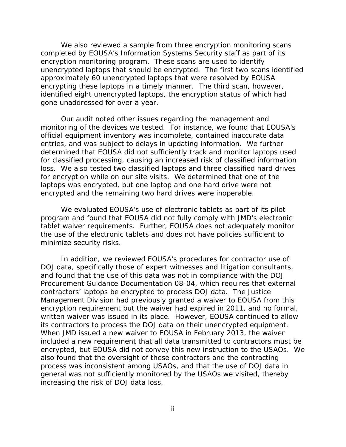unencrypted laptops that should be encrypted. The first two scans identified approximately 60 unencrypted laptops that were resolved by EOUSA gone unaddressed for over a year. gone unaddressed for over a year.<br>Our audit noted other issues regarding the management and We also reviewed a sample from three encryption monitoring scans completed by EOUSA's Information Systems Security staff as part of its encryption monitoring program. These scans are used to identify encrypting these laptops in a timely manner. The third scan, however, identified eight unencrypted laptops, the encryption status of which had

 entries, and was subject to delays in updating information. We further loss. We also tested two classified laptops and three classified hard drives for encryption while on our site visits. We determined that one of the encrypted and the remaining two hard drives were inoperable. monitoring of the devices we tested. For instance, we found that EOUSA's official equipment inventory was incomplete, contained inaccurate data determined that EOUSA did not sufficiently track and monitor laptops used for classified processing, causing an increased risk of classified information laptops was encrypted, but one laptop and one hard drive were not

minimize security risks. We evaluated EOUSA's use of electronic tablets as part of its pilot program and found that EOUSA did not fully comply with JMD's electronic tablet waiver requirements. Further, EOUSA does not adequately monitor the use of the electronic tablets and does not have policies sufficient to

 and found that the use of this data was not in compliance with the DOJ written waiver was issued in its place. However, EOUSA continued to allow When JMD issued a new waiver to EOUSA in February 2013, the waiver In addition, we reviewed EOUSA's procedures for contractor use of DOJ data, specifically those of expert witnesses and litigation consultants, Procurement Guidance Documentation 08-04, which requires that external contractors' laptops be encrypted to process DOJ data. The Justice Management Division had previously granted a waiver to EOUSA from this encryption requirement but the waiver had expired in 2011, and no formal, its contractors to process the DOJ data on their unencrypted equipment. included a new requirement that all data transmitted to contractors must be encrypted, but EOUSA did not convey this new instruction to the USAOs. We also found that the oversight of these contractors and the contracting process was inconsistent among USAOs, and that the use of DOJ data in general was not sufficiently monitored by the USAOs we visited, thereby increasing the risk of DOJ data loss.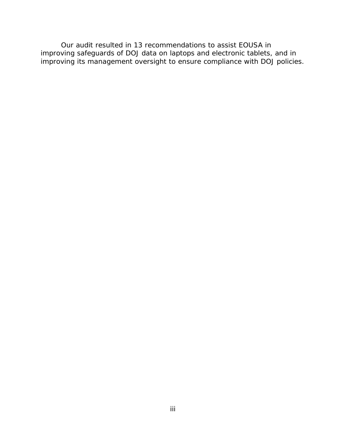improving safeguards of DOJ data on laptops and electronic tablets, and in improving its management oversight to ensure compliance with DOJ policies. Our audit resulted in 13 recommendations to assist EOUSA in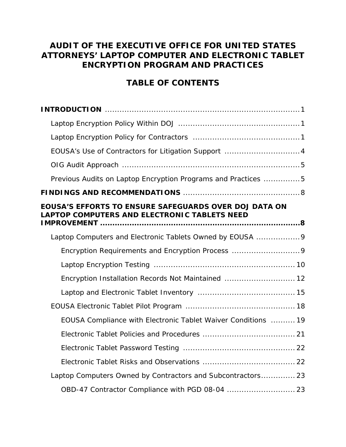# **AUDIT OF THE EXECUTIVE OFFICE FOR UNITED STATES ATTORNEYS' LAPTOP COMPUTER AND ELECTRONIC TABLET ENCRYPTION PROGRAM AND PRACTICES**

# **TABLE OF CONTENTS**

| Previous Audits on Laptop Encryption Programs and Practices 5                                         |  |
|-------------------------------------------------------------------------------------------------------|--|
|                                                                                                       |  |
| EOUSA'S EFFORTS TO ENSURE SAFEGUARDS OVER DOJ DATA ON<br>LAPTOP COMPUTERS AND ELECTRONIC TABLETS NEED |  |
| Laptop Computers and Electronic Tablets Owned by EOUSA 9                                              |  |
| Encryption Requirements and Encryption Process 9                                                      |  |
|                                                                                                       |  |
| Encryption Installation Records Not Maintained  12                                                    |  |
|                                                                                                       |  |
|                                                                                                       |  |
| EOUSA Compliance with Electronic Tablet Waiver Conditions  19                                         |  |
|                                                                                                       |  |
|                                                                                                       |  |
|                                                                                                       |  |
| Laptop Computers Owned by Contractors and Subcontractors 23                                           |  |
| OBD-47 Contractor Compliance with PGD 08-04  23                                                       |  |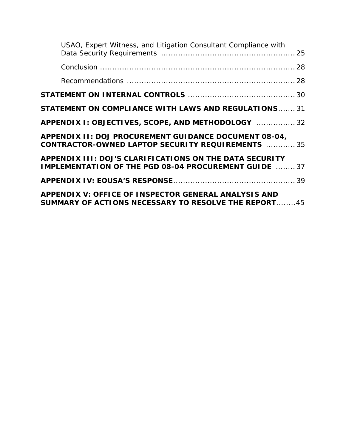| USAO, Expert Witness, and Litigation Consultant Compliance with                                                            |  |
|----------------------------------------------------------------------------------------------------------------------------|--|
|                                                                                                                            |  |
|                                                                                                                            |  |
|                                                                                                                            |  |
| <b>STATEMENT ON COMPLIANCE WITH LAWS AND REGULATIONS 31</b>                                                                |  |
| APPENDIX I: OBJECTIVES, SCOPE, AND METHODOLOGY  32                                                                         |  |
| APPENDIX II: DOJ PROCUREMENT GUIDANCE DOCUMENT 08-04,<br><b>CONTRACTOR-OWNED LAPTOP SECURITY REQUIREMENTS</b> 35           |  |
| APPENDIX III: DOJ'S CLARIFICATIONS ON THE DATA SECURITY<br><b>IMPLEMENTATION OF THE PGD 08-04 PROCUREMENT GUIDE</b> 37     |  |
|                                                                                                                            |  |
| <b>APPENDIX V: OFFICE OF INSPECTOR GENERAL ANALYSIS AND</b><br><b>SUMMARY OF ACTIONS NECESSARY TO RESOLVE THE REPORT45</b> |  |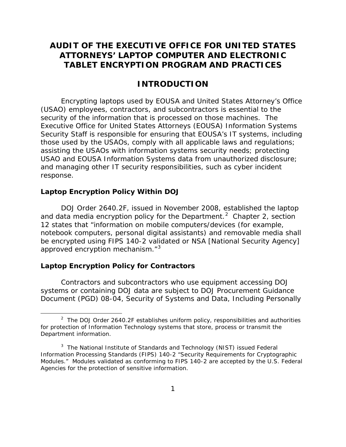# <span id="page-6-0"></span> **AUDIT OF THE EXECUTIVE OFFICE FOR UNITED STATES TABLET ENCRYPTION PROGRAM AND PRACTICES ATTORNEYS' LAPTOP COMPUTER AND ELECTRONIC**

## **INTRODUCTION**

 security of the information that is processed on those machines. The Executive Office for United States Attorneys (EOUSA) Information Systems Security Staff is responsible for ensuring that EOUSA's IT systems, including Encrypting laptops used by EOUSA and United States Attorney's Office (USAO) employees, contractors, and subcontractors is essential to the those used by the USAOs, comply with all applicable laws and regulations; assisting the USAOs with information systems security needs; protecting USAO and EOUSA Information Systems data from unauthorized disclosure; and managing other IT security responsibilities, such as cyber incident response.

#### **Laptop Encryption Policy Within DOJ**

and data media encryption policy for the Department.<sup>2</sup> Chapter 2, section DOJ Order 2640.2F, issued in November 2008, established the laptop 12 states that "information on mobile computers/devices (for example, notebook computers, personal digital assistants) and removable media shall be encrypted using FIPS 140-2 validated or NSA [National Security Agency] approved encryption mechanism."<sup>[3](#page-6-2)</sup>

#### **Laptop Encryption Policy for Contractors**

l

Contractors and subcontractors who use equipment accessing DOJ systems or containing DOJ data are subject to DOJ Procurement Guidance Document (PGD) 08-04, *Security of Systems and Data, Including Personally* 

<span id="page-6-1"></span><sup>&</sup>lt;sup>2</sup> The DOJ Order 2640.2F establishes uniform policy, responsibilities and authorities for protection of Information Technology systems that store, process or transmit the Department information.

<span id="page-6-2"></span> $3$  The National Institute of Standards and Technology (NIST) issued Federal Information Processing Standards (FIPS) 140-2 "Security Requirements for Cryptographic Modules." Modules validated as conforming to FIPS 140-2 are accepted by the U.S. Federal Agencies for the protection of sensitive information.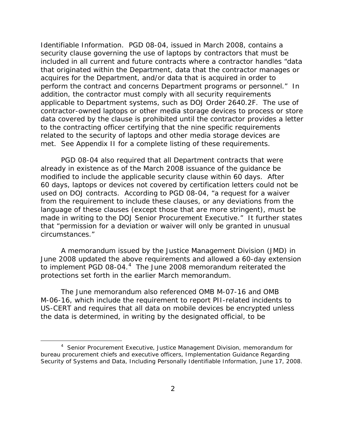*Identifiable Information*. PGD 08-04, issued in March 2008, contains a that originated within the Department, data that the contractor manages or perform the contract and concerns Department programs or personnel." In applicable to Department systems, such as DOJ Order 2640.2F. The use of met. See Appendix II for a complete listing of these requirements. security clause governing the use of laptops by contractors that must be included in all current and future contracts where a contractor handles "data acquires for the Department, and/or data that is acquired in order to addition, the contractor must comply with all security requirements contractor-owned laptops or other media storage devices to process or store data covered by the clause is prohibited until the contractor provides a letter to the contracting officer certifying that the nine specific requirements related to the security of laptops and other media storage devices are

 modified to include the applicable security clause within 60 days. After used on DOJ contracts. According to PGD 08-04, "a request for a waiver made in writing to the DOJ Senior Procurement Executive." It further states circumstances." PGD 08-04 also required that all Department contracts that were already in existence as of the March 2008 issuance of the guidance be 60 days, laptops or devices not covered by certification letters could not be from the requirement to include these clauses, or any deviations from the language of these clauses (except those that are more stringent), must be that "permission for a deviation or waiver will only be granted in unusual

to implement PGD 08-04. $4$  The June 2008 memorandum reiterated the protections set forth in the earlier March memorandum. A memorandum issued by the Justice Management Division (JMD) in June 2008 updated the above requirements and allowed a 60-day extension

 US-CERT and requires that all data on mobile devices be encrypted unless The June memorandum also referenced OMB M-07-16 and OMB M-06-16, which include the requirement to report PII-related incidents to the data is determined, in writing by the designated official, to be

<span id="page-7-0"></span><sup>&</sup>lt;sup>4</sup> Senior Procurement Executive, Justice Management Division, memorandum for bureau procurement chiefs and executive officers, Implementation Guidance Regarding Security of Systems and Data, Including Personally Identifiable Information, June 17, 2008.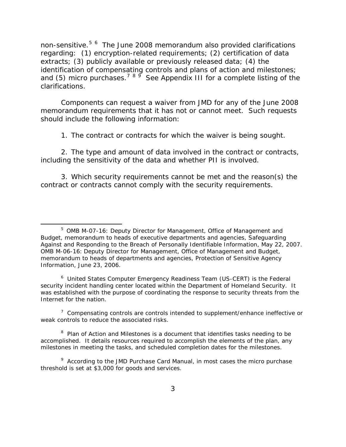non-sensitive.<sup>[5](#page-8-0) 6</sup> The June 2008 memorandum also provided clarifications regarding: (1) encryption-related requirements; (2) certification of data extracts; (3) publicly available or previously released data; (4) the identification of compensating controls and plans of action and milestones; and (5) micro purchases.<sup>[7](#page-8-2) [8](#page-8-3) 9</sup> See Appendix III for a complete listing of the clarifications.

 memorandum requirements that it has not or cannot meet. Such requests Components can request a waiver from JMD for any of the June 2008 should include the following information:

1. The contract or contracts for which the waiver is being sought.

2. The type and amount of data involved in the contract or contracts, including the sensitivity of the data and whether PII is involved.

3. Which security requirements cannot be met and the reason(s) the contract or contracts cannot comply with the security requirements.

l

<span id="page-8-1"></span><sup>6</sup> United States Computer Emergency Readiness Team (US-CERT) is the Federal security incident handling center located within the Department of Homeland Security. It was established with the purpose of coordinating the response to security threats from the Internet for the nation.

<span id="page-8-2"></span> $7$  Compensating controls are controls intended to supplement/enhance ineffective or weak controls to reduce the associated risks.

<span id="page-8-3"></span> $8$  Plan of Action and Milestones is a document that identifies tasks needing to be accomplished. It details resources required to accomplish the elements of the plan, any milestones in meeting the tasks, and scheduled completion dates for the milestones.

<span id="page-8-4"></span> $9$  According to the JMD Purchase Card Manual, in most cases the micro purchase threshold is set at \$3,000 for goods and services.

<span id="page-8-0"></span><sup>&</sup>lt;sup>5</sup> OMB M-07-16: Deputy Director for Management, Office of Management and Budget, memorandum to heads of executive departments and agencies, Safeguarding Against and Responding to the Breach of Personally Identifiable Information, May 22, 2007. OMB M-06-16: Deputy Director for Management, Office of Management and Budget, memorandum to heads of departments and agencies, Protection of Sensitive Agency Information, June 23, 2006.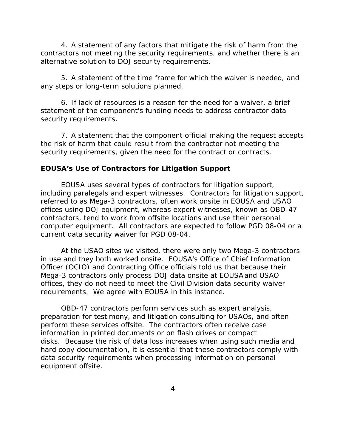<span id="page-9-0"></span> 4. A statement of any factors that mitigate the risk of harm from the contractors not meeting the security requirements, and whether there is an alternative solution to DOJ security requirements.

5. A statement of the time frame for which the waiver is needed, and any steps or long-term solutions planned.

6. If lack of resources is a reason for the need for a waiver, a brief statement of the component's funding needs to address contractor data security requirements.

7. A statement that the component official making the request accepts the risk of harm that could result from the contractor not meeting the security requirements, given the need for the contract or contracts.

## **EOUSA's Use of Contractors for Litigation Support**

 including paralegals and expert witnesses. Contractors for litigation support, computer equipment. All contractors are expected to follow PGD 08-04 or a current data security waiver for PGD 08-04. EOUSA uses several types of contractors for litigation support, referred to as Mega-3 contractors, often work onsite in EOUSA and USAO offices using DOJ equipment, whereas expert witnesses, known as OBD-47 contractors, tend to work from offsite locations and use their personal

 offices, they do not need to meet the Civil Division data security waiver requirements. We agree with EOUSA in this instance. At the USAO sites we visited, there were only two Mega-3 contractors in use and they both worked onsite. EOUSA's Office of Chief Information Officer (OCIO) and Contracting Office officials told us that because their Mega-3 contractors only process DOJ data onsite at EOUSAand USAO

 perform these services offsite. The contractors often receive case information in printed documents or on flash drives or compact disks. Because the risk of data loss increases when using such media and OBD-47 contractors perform services such as expert analysis, preparation for testimony, and litigation consulting for USAOs, and often hard copy documentation, it is essential that these contractors comply with data security requirements when processing information on personal equipment offsite.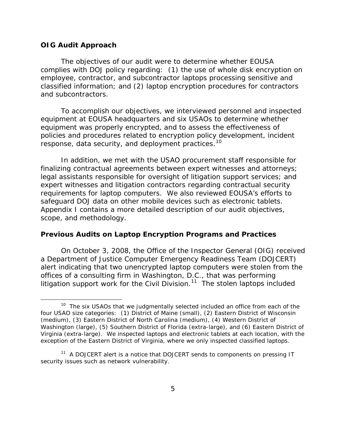#### <span id="page-10-0"></span>**OIG Audit Approach**

l

and subcontractors. The objectives of our audit were to determine whether EOUSA complies with DOJ policy regarding: (1) the use of whole disk encryption on employee, contractor, and subcontractor laptops processing sensitive and classified information; and (2) laptop encryption procedures for contractors

 policies and procedures related to encryption policy development, incident response, data security, and deployment practices.<sup>[10](#page-10-1)</sup> To accomplish our objectives, we interviewed personnel and inspected equipment at EOUSA headquarters and six USAOs to determine whether equipment was properly encrypted, and to assess the effectiveness of

 In addition, we met with the USAO procurement staff responsible for requirements for laptop computers. We also reviewed EOUSA's efforts to safequard DOJ data on other mobile devices such as electronic tablets. scope, and methodology. finalizing contractual agreements between expert witnesses and attorneys; legal assistants responsible for oversight of litigation support services; and expert witnesses and litigation contractors regarding contractual security Appendix I contains a more detailed description of our audit objectives,

#### **Previous Audits on Laptop Encryption Programs and Practices**

litigation support work for the Civil Division.<sup>11</sup> The stolen laptops included On October 3, 2008, the Office of the Inspector General (OIG) received a Department of Justice Computer Emergency Readiness Team (DOJCERT) alert indicating that two unencrypted laptop computers were stolen from the offices of a consulting firm in Washington, D.C., that was performing

<span id="page-10-1"></span> $10$  The six USAOs that we judgmentally selected included an office from each of the four USAO size categories: (1) District of Maine (small), (2) Eastern District of Wisconsin (medium), (3) Eastern District of North Carolina (medium), (4) Western District of Washington (large), (5) Southern District of Florida (extra-large), and (6) Eastern District of Virginia (extra-large). We inspected laptops and electronic tablets at each location, with the exception of the Eastern District of Virginia, where we only inspected classified laptops.

<span id="page-10-2"></span><sup>&</sup>lt;sup>11</sup> A DOJCERT alert is a notice that DOJCERT sends to components on pressing IT security issues such as network vulnerability.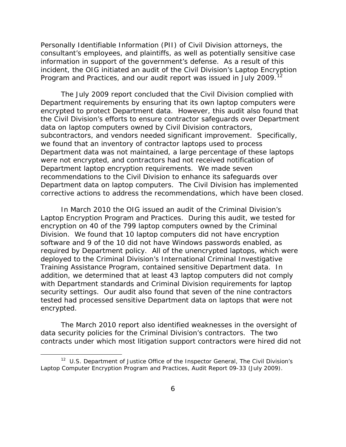information in support of the government's defense. As a result of this Personally Identifiable Information (PII) of Civil Division attorneys, the consultant's employees, and plaintiffs, as well as potentially sensitive case incident, the OIG initiated an audit of the Civil Division's Laptop Encryption Program and Practices, and our audit report was issued in July 2009.<sup>1</sup>

 encrypted to protect Department data. However, this audit also found that subcontractors, and vendors needed significant improvement. Specifically, Department laptop encryption requirements. We made seven The July 2009 report concluded that the Civil Division complied with Department requirements by ensuring that its own laptop computers were the Civil Division's efforts to ensure contractor safeguards over Department data on laptop computers owned by Civil Division contractors, we found that an inventory of contractor laptops used to process Department data was not maintained, a large percentage of these laptops were not encrypted, and contractors had not received notification of recommendations to the Civil Division to enhance its safeguards over Department data on laptop computers. The Civil Division has implemented corrective actions to address the recommendations, which have been closed.

 Laptop Encryption Program and Practices. During this audit, we tested for Division. We found that 10 laptop computers did not have encryption required by Department policy. All of the unencrypted laptops, which were Training Assistance Program, contained sensitive Department data. In security settings. Our audit also found that seven of the nine contractors In March 2010 the OIG issued an audit of the Criminal Division's encryption on 40 of the 799 laptop computers owned by the Criminal software and 9 of the 10 did not have Windows passwords enabled, as deployed to the Criminal Division's International Criminal Investigative addition, we determined that at least 43 laptop computers did not comply with Department standards and Criminal Division requirements for laptop tested had processed sensitive Department data on laptops that were not encrypted.

 data security policies for the Criminal Division's contractors. The two The March 2010 report also identified weaknesses in the oversight of contracts under which most litigation support contractors were hired did not

<span id="page-11-0"></span> 12 U.S. Department of Justice Office of the Inspector General, *The Civil Division's Laptop Computer Encryption Program and Practices,* Audit Report 09-33 (July 2009).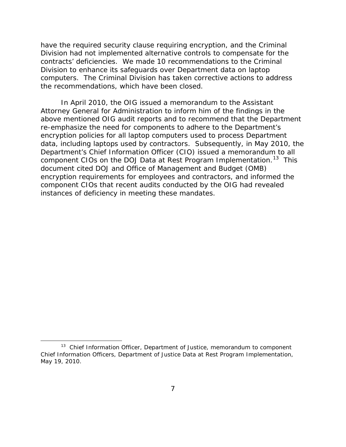contracts' deficiencies. We made 10 recommendations to the Criminal computers. The Criminal Division has taken corrective actions to address have the required security clause requiring encryption, and the Criminal Division had not implemented alternative controls to compensate for the Division to enhance its safeguards over Department data on laptop the recommendations, which have been closed.

 data, including laptops used by contractors. Subsequently, in May 2010, the component CIOs on the DOJ Data at Rest Program Implementation.<sup>13</sup> This In April 2010, the OIG issued a memorandum to the Assistant Attorney General for Administration to inform him of the findings in the above mentioned OIG audit reports and to recommend that the Department re-emphasize the need for components to adhere to the Department's encryption policies for all laptop computers used to process Department Department's Chief Information Officer (CIO) issued a memorandum to all document cited DOJ and Office of Management and Budget (OMB) encryption requirements for employees and contractors, and informed the component CIOs that recent audits conducted by the OIG had revealed instances of deficiency in meeting these mandates.

<span id="page-12-0"></span><sup>&</sup>lt;sup>13</sup> Chief Information Officer, Department of Justice, memorandum to component Chief Information Officers, Department of Justice Data at Rest Program Implementation, May 19, 2010.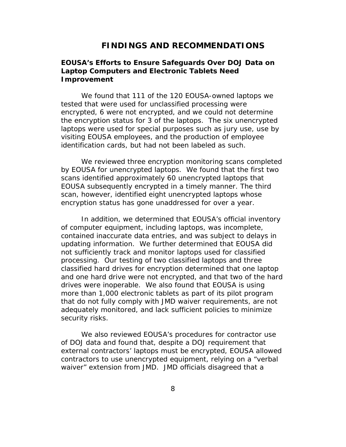## **FINDINGS AND RECOMMENDATIONS**

## <span id="page-13-0"></span>**EOUSA's Efforts to Ensure Safeguards Over DOJ Data on Laptop Computers and Electronic Tablets Need Improvement**

We found that 111 of the 120 EOUSA-owned laptops we tested that were used for unclassified processing were encrypted, 6 were not encrypted, and we could not determine the encryption status for 3 of the laptops. The six unencrypted laptops were used for special purposes such as jury use, use by visiting EOUSA employees, and the production of employee identification cards, but had not been labeled as such.

 scans identified approximately 60 unencrypted laptops that encryption status has gone unaddressed for over a year. We reviewed three encryption monitoring scans completed by EOUSA for unencrypted laptops. We found that the first two EOUSA subsequently encrypted in a timely manner. The third scan, however, identified eight unencrypted laptops whose

 drives were inoperable. We also found that EOUSA is using security risks. In addition, we determined that EOUSA's official inventory of computer equipment, including laptops, was incomplete, contained inaccurate data entries, and was subject to delays in updating information. We further determined that EOUSA did not sufficiently track and monitor laptops used for classified processing. Our testing of two classified laptops and three classified hard drives for encryption determined that one laptop and one hard drive were not encrypted, and that two of the hard more than 1,000 electronic tablets as part of its pilot program that do not fully comply with JMD waiver requirements, are not adequately monitored, and lack sufficient policies to minimize

We also reviewed EOUSA's procedures for contractor use of DOJ data and found that, despite a DOJ requirement that external contractors' laptops must be encrypted, EOUSA allowed contractors to use unencrypted equipment, relying on a "verbal waiver" extension from JMD. JMD officials disagreed that a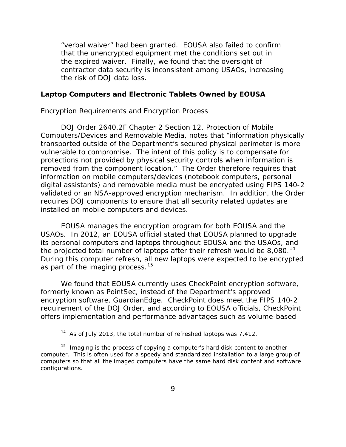<span id="page-14-0"></span> "verbal waiver" had been granted. EOUSA also failed to confirm the risk of DOJ data loss. that the unencrypted equipment met the conditions set out in the expired waiver. Finally, we found that the oversight of contractor data security is inconsistent among USAOs, increasing

### **Laptop Computers and Electronic Tablets Owned by EOUSA**

#### *Encryption Requirements and Encryption Process*

 Computers/Devices and Removable Media, notes that "information physically removed from the component location." The Order therefore requires that validated or an NSA-approved encryption mechanism. In addition, the Order installed on mobile computers and devices. DOJ Order 2640.2F Chapter 2 Section 12, Protection of Mobile transported outside of the Department's secured physical perimeter is more vulnerable to compromise. The intent of this policy is to compensate for protections not provided by physical security controls when information is information on mobile computers/devices (notebook computers, personal digital assistants) and removable media must be encrypted using FIPS 140-2 requires DOJ components to ensure that all security related updates are

 its personal computers and laptops throughout EOUSA and the USAOs, and the projected total number of laptops after their refresh would be 8,080. $^{14}$ as part of the imaging process.<sup>[15](#page-14-2)</sup> EOUSA manages the encryption program for both EOUSA and the USAOs. In 2012, an EOUSA official stated that EOUSA planned to upgrade During this computer refresh, all new laptops were expected to be encrypted

 encryption software, GuardianEdge. CheckPoint does meet the FIPS 140-2 We found that EOUSA currently uses CheckPoint encryption software, formerly known as PointSec, instead of the Department's approved requirement of the DOJ Order, and according to EOUSA officials, CheckPoint offers implementation and performance advantages such as volume-based

<sup>&</sup>lt;sup>14</sup> As of July 2013, the total number of refreshed laptops was  $7,412$ .

<span id="page-14-2"></span><span id="page-14-1"></span> $15$  Imaging is the process of copying a computer's hard disk content to another computer. This is often used for a speedy and standardized installation to a large group of computers so that all the imaged computers have the same hard disk content and software configurations.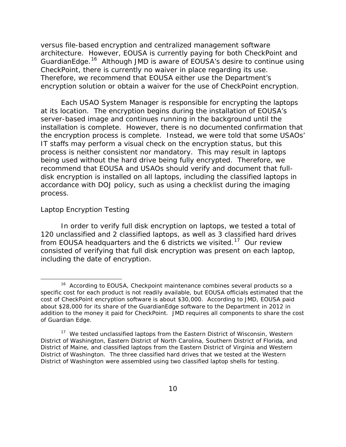<span id="page-15-0"></span> architecture. However, EOUSA is currently paying for both CheckPoint and GuardianEdge.<sup>16</sup> Although JMD is aware of EOUSA's desire to continue using versus file-based encryption and centralized management software CheckPoint, there is currently no waiver in place regarding its use. Therefore, we recommend that EOUSA either use the Department's encryption solution or obtain a waiver for the use of CheckPoint encryption.

 IT staffs may perform a visual check on the encryption status, but this process is neither consistent nor mandatory. This may result in laptops being used without the hard drive being fully encrypted. Therefore, we Each USAO System Manager is responsible for encrypting the laptops at its location. The encryption begins during the installation of EOUSA's server-based image and continues running in the background until the installation is complete. However, there is no documented confirmation that the encryption process is complete. Instead, we were told that some USAOs' recommend that EOUSA and USAOs should verify and document that fulldisk encryption is installed on all laptops, including the classified laptops in accordance with DOJ policy, such as using a checklist during the imaging process.

#### *Laptop Encryption Testing*

 $\overline{\phantom{a}}$ 

from EOUSA headquarters and the 6 districts we visited.<sup>17</sup> Our review In order to verify full disk encryption on laptops, we tested a total of 120 unclassified and 2 classified laptops, as well as 3 classified hard drives consisted of verifying that full disk encryption was present on each laptop, including the date of encryption.

<span id="page-15-1"></span><sup>&</sup>lt;sup>16</sup> According to EOUSA, Checkpoint maintenance combines several products so a specific cost for each product is not readily available, but EOUSA officials estimated that the cost of CheckPoint encryption software is about \$30,000. According to JMD, EOUSA paid about \$28,000 for its share of the GuardianEdge software to the Department in 2012 in addition to the money it paid for CheckPoint. JMD requires all components to share the cost of Guardian Edge.

<span id="page-15-2"></span><sup>&</sup>lt;sup>17</sup> We tested unclassified laptops from the Eastern District of Wisconsin, Western District of Washington, Eastern District of North Carolina, Southern District of Florida, and District of Maine, and classified laptops from the Eastern District of Virginia and Western District of Washington. The three classified hard drives that we tested at the Western District of Washington were assembled using two classified laptop shells for testing.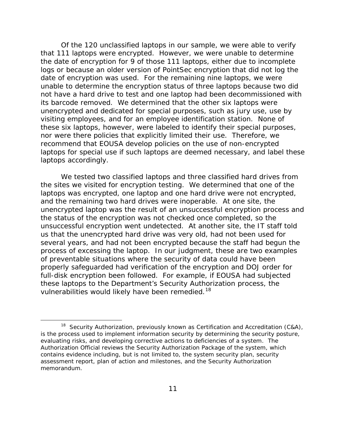that 111 laptops were encrypted. However, we were unable to determine logs or because an older version of PointSec encryption that did not log the date of encryption was used. For the remaining nine laptops, we were its barcode removed. We determined that the other six laptops were visiting employees, and for an employee identification station. None of nor were there policies that explicitly limited their use. Therefore, we laptops for special use if such laptops are deemed necessary, and label these Of the 120 unclassified laptops in our sample, we were able to verify the date of encryption for 9 of those 111 laptops, either due to incomplete unable to determine the encryption status of three laptops because two did not have a hard drive to test and one laptop had been decommissioned with unencrypted and dedicated for special purposes, such as jury use, use by these six laptops, however, were labeled to identify their special purposes, recommend that EOUSA develop policies on the use of non-encrypted laptops accordingly.

 unsuccessful encryption went undetected. At another site, the IT staff told us that the unencrypted hard drive was very old, had not been used for several years, and had not been encrypted because the staff had begun the process of excessing the laptop. In our judgment, these are two examples full-disk encryption been followed. For example, if EOUSA had subjected We tested two classified laptops and three classified hard drives from the sites we visited for encryption testing. We determined that one of the laptops was encrypted, one laptop and one hard drive were not encrypted, and the remaining two hard drives were inoperable. At one site, the unencrypted laptop was the result of an unsuccessful encryption process and the status of the encryption was not checked once completed, so the of preventable situations where the security of data could have been properly safeguarded had verification of the encryption and DOJ order for these laptops to the Department's Security Authorization process, the vulnerabilities would likely have been remedied.<sup>18</sup>

<span id="page-16-0"></span><sup>&</sup>lt;sup>18</sup> Security Authorization, previously known as Certification and Accreditation (C&A), is the process used to implement information security by determining the security posture, evaluating risks, and developing corrective actions to deficiencies of a system. The Authorization Official reviews the Security Authorization Package of the system, which contains evidence including, but is not limited to, the system security plan, security assessment report, plan of action and milestones, and the Security Authorization memorandum. memorandum.<br>11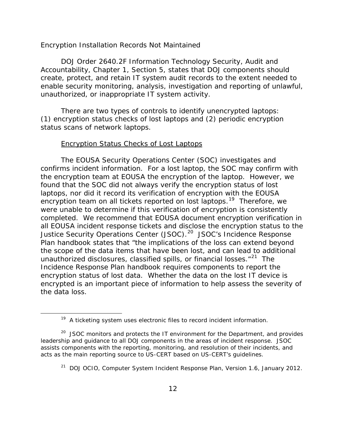#### <span id="page-17-0"></span>*Encryption Installation Records Not Maintained*

DOJ Order 2640.2F Information Technology Security, Audit and Accountability, Chapter 1, Section 5, states that DOJ components should create, protect, and retain IT system audit records to the extent needed to enable security monitoring, analysis, investigation and reporting of unlawful, unauthorized, or inappropriate IT system activity.

There are two types of controls to identify unencrypted laptops:  $(1)$  encryption status checks of lost laptops and  $(2)$  periodic encryption status scans of network laptops.

#### Encryption Status Checks of Lost Laptops

<span id="page-17-1"></span>l

 found that the SOC did not always verify the encryption status of lost encryption team on all tickets reported on lost laptops.<sup>[19](#page-17-1)</sup> Therefore, we completed. We recommend that EOUSA document encryption verification in Justice Security Operations Center (JSOC).<sup>[20](#page-17-2)</sup> JSOC's Incidence Response Plan handbook states that "the implications of the loss can extend beyond unauthorized disclosures, classified spills, or financial losses."<sup>[21](#page-17-3)</sup> The the data loss. the data loss.<br>19 A ticketing system uses electronic files to record incident information. The EOUSA Security Operations Center (SOC) investigates and confirms incident information. For a lost laptop, the SOC may confirm with the encryption team at EOUSA the encryption of the laptop. However, we laptops, nor did it record its verification of encryption with the EOUSA were unable to determine if this verification of encryption is consistently all EOUSA incident response tickets and disclose the encryption status to the the scope of the data items that have been lost, and can lead to additional Incidence Response Plan handbook requires components to report the encryption status of lost data. Whether the data on the lost IT device is encrypted is an important piece of information to help assess the severity of

<span id="page-17-3"></span><span id="page-17-2"></span> $20$  JSOC monitors and protects the IT environment for the Department, and provides leadership and guidance to all DOJ components in the areas of incident response. JSOC assists components with the reporting, monitoring, and resolution of their incidents, and acts as the main reporting source to US-CERT based on US-CERT's guidelines.

<sup>&</sup>lt;sup>21</sup> DOJ OCIO, Computer System Incident Response Plan, Version 1.6, January 2012.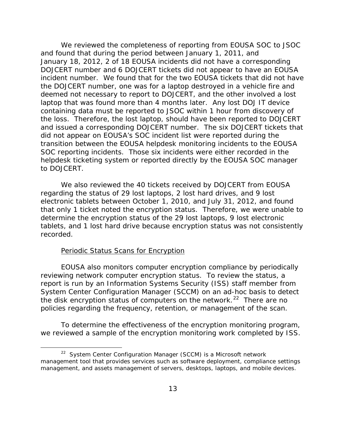January 18, 2012, 2 of 18 EOUSA incidents did not have a corresponding incident number. We found that for the two EOUSA tickets that did not have containing data must be reported to JSOC within 1 hour from discovery of the loss. Therefore, the lost laptop, should have been reported to DOJCERT and issued a corresponding DOJCERT number. The six DOJCERT tickets that We reviewed the completeness of reporting from EOUSA SOC to JSOC and found that during the period between January 1, 2011, and DOJCERT number and 6 DOJCERT tickets did not appear to have an EOUSA the DOJCERT number, one was for a laptop destroyed in a vehicle fire and deemed not necessary to report to DOJCERT, and the other involved a lost laptop that was found more than 4 months later. Any lost DOJ IT device did not appear on EOUSA's SOC incident list were reported during the transition between the EOUSA helpdesk monitoring incidents to the EOUSA SOC reporting incidents. Those six incidents were either recorded in the helpdesk ticketing system or reported directly by the EOUSA SOC manager to DOJCERT.

 that only 1 ticket noted the encryption status. Therefore, we were unable to recorded. We also reviewed the 40 tickets received by DOJCERT from EOUSA regarding the status of 29 lost laptops, 2 lost hard drives, and 9 lost electronic tablets between October 1, 2010, and July 31, 2012, and found determine the encryption status of the 29 lost laptops, 9 lost electronic tablets, and 1 lost hard drive because encryption status was not consistently

#### Periodic Status Scans for Encryption

l

the disk encryption status of computers on the network.<sup>[22](#page-18-0)</sup> There are no EOUSA also monitors computer encryption compliance by periodically reviewing network computer encryption status. To review the status, a report is run by an Information Systems Security (ISS) staff member from System Center Configuration Manager (SCCM) on an ad-hoc basis to detect policies regarding the frequency, retention, or management of the scan.

 we reviewed a sample of the encryption monitoring work completed by ISS. 22 System Center Configuration Manager (SCCM) is a Microsoft network To determine the effectiveness of the encryption monitoring program,

<span id="page-18-0"></span><sup>&</sup>lt;sup>22</sup> System Center Configuration Manager (SCCM) is a Microsoft network management tool that provides services such as software deployment, compliance settings management, and assets management of servers, desktops, laptops, and mobile devices.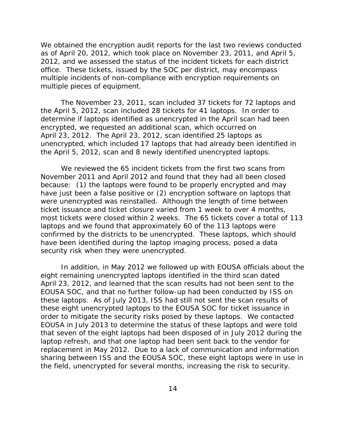2012, and we assessed the status of the incident tickets for each district office. These tickets, issued by the SOC per district, may encompass multiple pieces of equipment. We obtained the encryption audit reports for the last two reviews conducted as of April 20, 2012, which took place on November 23, 2011, and April 5, multiple incidents of non-compliance with encryption requirements on

 April 23, 2012. The April 23, 2012, scan identified 25 laptops as unencrypted, which included 17 laptops that had already been identified in the April 5, 2012, scan and 8 newly identified unencrypted laptops. We reviewed the 65 incident tickets from the first two scans from The November 23, 2011, scan included 37 tickets for 72 laptops and the April 5, 2012, scan included 28 tickets for 41 laptops. In order to determine if laptops identified as unencrypted in the April scan had been encrypted, we requested an additional scan, which occurred on

We reviewed the 65 incident tickets from the first two scans from because: (1) the laptops were found to be properly encrypted and may have just been a false positive or (2) encryption software on laptops that ticket issuance and ticket closure varied from 1 week to over 4 months, November 2011 and April 2012 and found that they had all been closed were unencrypted was reinstalled. Although the length of time between most tickets were closed within 2 weeks. The 65 tickets cover a total of 113 laptops and we found that approximately 60 of the 113 laptops were confirmed by the districts to be unencrypted. These laptops, which should have been identified during the laptop imaging process, posed a data security risk when they were unencrypted.

 that seven of the eight laptops had been disposed of in July 2012 during the the field, unencrypted for several months, increasing the risk to security.<br>14 In addition, in May 2012 we followed up with EOUSA officials about the eight remaining unencrypted laptops identified in the third scan dated April 23, 2012, and learned that the scan results had not been sent to the EOUSA SOC, and that no further follow-up had been conducted by ISS on these laptops. As of July 2013, ISS had still not sent the scan results of these eight unencrypted laptops to the EOUSA SOC for ticket issuance in order to mitigate the security risks posed by these laptops. We contacted EOUSA in July 2013 to determine the status of these laptops and were told laptop refresh, and that one laptop had been sent back to the vendor for replacement in May 2012. Due to a lack of communication and information sharing between ISS and the EOUSA SOC, these eight laptops were in use in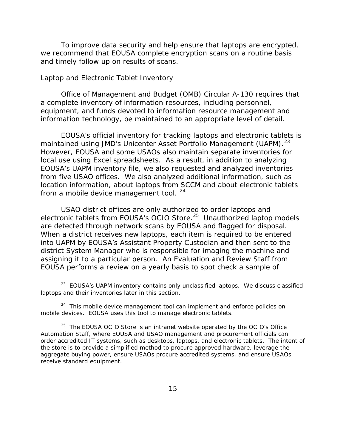<span id="page-20-0"></span>To improve data security and help ensure that laptops are encrypted, we recommend that EOUSA complete encryption scans on a routine basis and timely follow up on results of scans.

#### *Laptop and Electronic Tablet Inventory*

 $\overline{\phantom{a}}$ 

Office of Management and Budget (OMB) Circular A-130 requires that a complete inventory of information resources, including personnel, equipment, and funds devoted to information resource management and information technology, be maintained to an appropriate level of detail.

maintained using JMD's Unicenter Asset Portfolio Management (UAPM).<sup>[23](#page-20-1)</sup> However, EOUSA and some USAOs also maintain separate inventories for local use using Excel spreadsheets. As a result, in addition to analyzing EOUSA's official inventory for tracking laptops and electronic tablets is EOUSA's UAPM inventory file, we also requested and analyzed inventories from five USAO offices. We also analyzed additional information, such as location information, about laptops from SCCM and about electronic tablets from a mobile device management tool. <sup>24</sup>

electronic tablets from EOUSA's OCIO Store.<sup>[25](#page-20-3)</sup> Unauthorized laptop models are detected through network scans by EOUSA and flagged for disposal. assigning it to a particular person. An Evaluation and Review Staff from USAO district offices are only authorized to order laptops and When a district receives new laptops, each item is required to be entered into UAPM by EOUSA's Assistant Property Custodian and then sent to the district System Manager who is responsible for imaging the machine and EOUSA performs a review on a yearly basis to spot check a sample of

<span id="page-20-1"></span> $23$  EOUSA's UAPM inventory contains only unclassified laptops. We discuss classified laptops and their inventories later in this section.

<span id="page-20-2"></span><sup>&</sup>lt;sup>24</sup> This mobile device management tool can implement and enforce policies on mobile devices. EOUSA uses this tool to manage electronic tablets.

<span id="page-20-3"></span> $25$  The EOUSA OCIO Store is an intranet website operated by the OCIO's Office Automation Staff, where EOUSA and USAO management and procurement officials can order accredited IT systems, such as desktops, laptops, and electronic tablets. The intent of the store is to provide a simplified method to procure approved hardware, leverage the aggregate buying power, ensure USAOs procure accredited systems, and ensure USAOs receive standard equipment.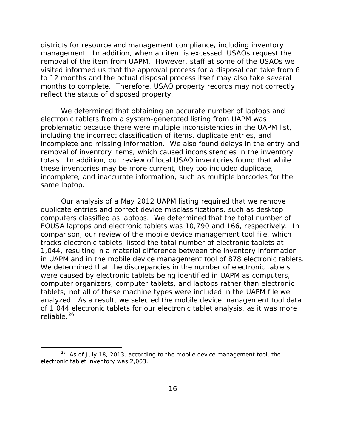management. In addition, when an item is excessed, USAOs request the visited informed us that the approval process for a disposal can take from 6 months to complete. Therefore, USAO property records may not correctly reflect the status of disposed property. districts for resource and management compliance, including inventory removal of the item from UAPM. However, staff at some of the USAOs we to 12 months and the actual disposal process itself may also take several

 totals. In addition, our review of local USAO inventories found that while these inventories may be more current, they too included duplicate, We determined that obtaining an accurate number of laptops and electronic tablets from a system-generated listing from UAPM was problematic because there were multiple inconsistencies in the UAPM list, including the incorrect classification of items, duplicate entries, and incomplete and missing information. We also found delays in the entry and removal of inventory items, which caused inconsistencies in the inventory incomplete, and inaccurate information, such as multiple barcodes for the same laptop.

 Our analysis of a May 2012 UAPM listing required that we remove duplicate entries and correct device misclassifications, such as desktop computers classified as laptops. We determined that the total number of comparison, our review of the mobile device management tool file, which reliable.<sup>[26](#page-21-0)</sup> EOUSA laptops and electronic tablets was 10,790 and 166, respectively. In tracks electronic tablets, listed the total number of electronic tablets at 1,044, resulting in a material difference between the inventory information in UAPM and in the mobile device management tool of 878 electronic tablets. We determined that the discrepancies in the number of electronic tablets were caused by electronic tablets being identified in UAPM as computers, computer organizers, computer tablets, and laptops rather than electronic tablets; not all of these machine types were included in the UAPM file we analyzed. As a result, we selected the mobile device management tool data of 1,044 electronic tablets for our electronic tablet analysis, as it was more

l

<span id="page-21-0"></span> $26$  As of July 18, 2013, according to the mobile device management tool, the electronic tablet inventory was 2,003.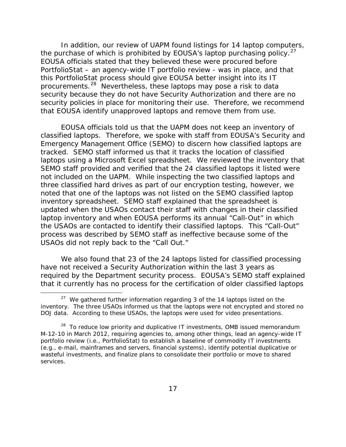PortfolioStat – an agency-wide IT portfolio review - was in place, and that procurements.<sup>28</sup> Nevertheless, these laptops may pose a risk to data security because they do not have Security Authorization and there are no security policies in place for monitoring their use. Therefore, we recommend In addition, our review of UAPM found listings for 14 laptop computers, the purchase of which is prohibited by EOUSA's laptop purchasing policy. $27$ EOUSA officials stated that they believed these were procured before this PortfolioStat process should give EOUSA better insight into its IT that EOUSA identify unapproved laptops and remove them from use.

 classified laptops. Therefore, we spoke with staff from EOUSA's Security and Emergency Management Office (SEMO) to discern how classified laptops are tracked. SEMO staff informed us that it tracks the location of classified laptops using a Microsoft Excel spreadsheet. We reviewed the inventory that not included on the UAPM. While inspecting the two classified laptops and three classified hard drives as part of our encryption testing, however, we noted that one of the laptops was not listed on the SEMO classified laptop inventory spreadsheet. SEMO staff explained that the spreadsheet is updated when the USAOs contact their staff with changes in their classified laptop inventory and when EOUSA performs its annual "Call-Out" in which the USAOs are contacted to identify their classified laptops. This "Call-Out" USAOs did not reply back to the "Call Out." EOUSA officials told us that the UAPM does not keep an inventory of SEMO staff provided and verified that the 24 classified laptops it listed were process was described by SEMO staff as ineffective because some of the

 required by the Department security process. EOUSA's SEMO staff explained that it currently has no process for the certification of older classified laptops We also found that 23 of the 24 laptops listed for classified processing have not received a Security Authorization within the last 3 years as

<span id="page-22-0"></span> $27$  We gathered further information regarding 3 of the 14 laptops listed on the inventory. The three USAOs informed us that the laptops were not encrypted and stored no DOJ data. According to these USAOs, the laptops were used for video presentations.

<span id="page-22-1"></span> $28$  To reduce low priority and duplicative IT investments, OMB issued memorandum M-12-10 in March 2012, requiring agencies to, among other things, lead an agency-wide IT portfolio review (i.e., PortfolioStat) to establish a baseline of commodity IT investments (e.g., e-mail, mainframes and servers, financial systems), identify potential duplicative or wasteful investments, and finalize plans to consolidate their portfolio or move to shared services.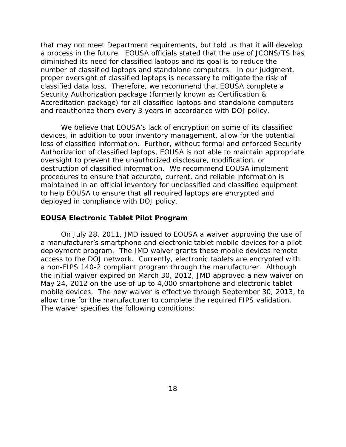<span id="page-23-0"></span> diminished its need for classified laptops and its goal is to reduce the number of classified laptops and standalone computers. In our judgment, proper oversight of classified laptops is necessary to mitigate the risk of that may not meet Department requirements, but told us that it will develop a process in the future. EOUSA officials stated that the use of JCONS/TS has classified data loss. Therefore, we recommend that EOUSA complete a Security Authorization package (formerly known as Certification & Accreditation package) for all classified laptops and standalone computers and reauthorize them every 3 years in accordance with DOJ policy.

We believe that EOUSA's lack of encryption on some of its classified devices, in addition to poor inventory management, allow for the potential loss of classified information. Further, without formal and enforced Security Authorization of classified laptops, EOUSA is not able to maintain appropriate oversight to prevent the unauthorized disclosure, modification, or destruction of classified information. We recommend EOUSA implement procedures to ensure that accurate, current, and reliable information is maintained in an official inventory for unclassified and classified equipment to help EOUSA to ensure that all required laptops are encrypted and deployed in compliance with DOJ policy.

#### **EOUSA Electronic Tablet Pilot Program**

 May 24, 2012 on the use of up to 4,000 smartphone and electronic tablet mobile devices. The new waiver is effective through September 30, 2013, to On July 28, 2011, JMD issued to EOUSA a waiver approving the use of a manufacturer's smartphone and electronic tablet mobile devices for a pilot deployment program. The JMD waiver grants these mobile devices remote access to the DOJ network. Currently, electronic tablets are encrypted with a non-FIPS 140-2 compliant program through the manufacturer. Although the initial waiver expired on March 30, 2012, JMD approved a new waiver on allow time for the manufacturer to complete the required FIPS validation. The waiver specifies the following conditions: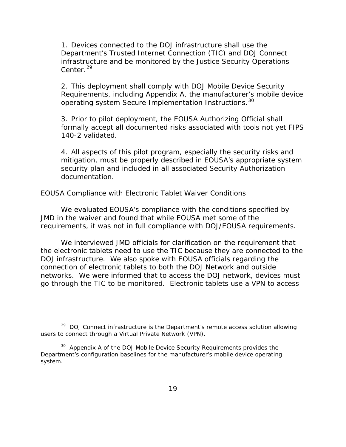<span id="page-24-0"></span>1. Devices connected to the DOJ infrastructure shall use the Department's Trusted Internet Connection (TIC) and DOJ Connect infrastructure and be monitored by the Justice Security Operations Center.  $29$ 

 2. This deployment shall comply with DOJ Mobile Device Security Requirements, including Appendix A, the manufacturer's mobile device operating system Secure Implementation Instructions.[30](#page-24-2) 

3. Prior to pilot deployment, the EOUSA Authorizing Official shall formally accept all documented risks associated with tools not yet FIPS 140-2 validated.

 mitigation, must be properly described in EOUSA's appropriate system 4. All aspects of this pilot program, especially the security risks and security plan and included in all associated Security Authorization documentation.

#### *EOUSA Compliance with Electronic Tablet Waiver Conditions*

We evaluated EOUSA's compliance with the conditions specified by JMD in the waiver and found that while EOUSA met some of the requirements, it was not in full compliance with DOJ/EOUSA requirements.

 DOJ infrastructure. We also spoke with EOUSA officials regarding the go through the TIC to be monitored. Electronic tablets use a VPN to access We interviewed JMD officials for clarification on the requirement that the electronic tablets need to use the TIC because they are connected to the connection of electronic tablets to both the DOJ Network and outside networks. We were informed that to access the DOJ network, devices must

<span id="page-24-1"></span> $29$  DOJ Connect infrastructure is the Department's remote access solution allowing users to connect through a Virtual Private Network (VPN).

<span id="page-24-2"></span> $30$  Appendix A of the DOJ Mobile Device Security Requirements provides the Department's configuration baselines for the manufacturer's mobile device operating system.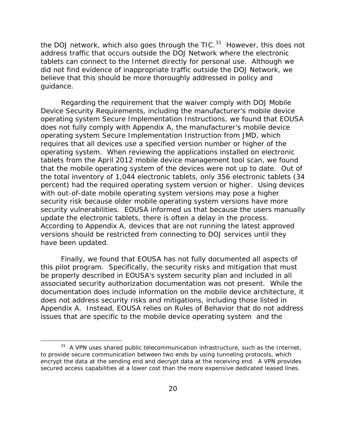the DOJ network, which also goes through the TIC.<sup>[31](#page-25-0)</sup> However, this does not address traffic that occurs outside the DOJ Network where the electronic tablets can connect to the Internet directly for personal use. Although we did not find evidence of inappropriate traffic outside the DOJ Network, we believe that this should be more thoroughly addressed in policy and guidance.

 does not fully comply with Appendix A, the manufacturer's mobile device security risk because older mobile operating system versions have more update the electronic tablets, there is often a delay in the process. have been updated. Regarding the requirement that the waiver comply with DOJ Mobile Device Security Requirements, including the manufacturer's mobile device operating system Secure Implementation Instructions, we found that EOUSA operating system Secure Implementation Instruction from JMD, which requires that all devices use a specified version number or higher of the operating system. When reviewing the applications installed on electronic tablets from the April 2012 mobile device management tool scan, we found that the mobile operating system of the devices were not up to date. Out of the total inventory of 1,044 electronic tablets, only 356 electronic tablets (34 percent) had the required operating system version or higher. Using devices with out-of-date mobile operating system versions may pose a higher security vulnerabilities. EOUSA informed us that because the users manually According to Appendix A, devices that are not running the latest approved versions should be restricted from connecting to DOJ services until they

 issues that are specific to the mobile device operating system and the Finally, we found that EOUSA has not fully documented all aspects of this pilot program. Specifically, the security risks and mitigation that must be properly described in EOUSA's system security plan and included in all associated security authorization documentation was not present. While the documentation does include information on the mobile device architecture, it does not address security risks and mitigations, including those listed in Appendix A. Instead, EOUSA relies on Rules of Behavior that do not address

<span id="page-25-0"></span> $31$  A VPN uses shared public telecommunication infrastructure, such as the Internet, to provide secure communication between two ends by using tunneling protocols, which encrypt the data at the sending end and decrypt data at the receiving end. A VPN provides secured access capabilities at a lower cost than the more expensive dedicated leased lines.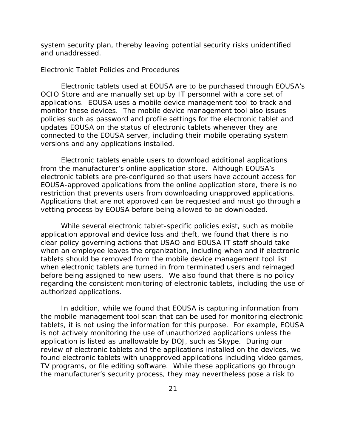<span id="page-26-0"></span>system security plan, thereby leaving potential security risks unidentified and unaddressed.

#### *Electronic Tablet Policies and Procedures*

 applications. EOUSA uses a mobile device management tool to track and monitor these devices. The mobile device management tool also issues policies such as password and profile settings for the electronic tablet and Electronic tablets used at EOUSA are to be purchased through EOUSA's OCIO Store and are manually set up by IT personnel with a core set of updates EOUSA on the status of electronic tablets whenever they are connected to the EOUSA server, including their mobile operating system versions and any applications installed.

 from the manufacturer's online application store. Although EOUSA's electronic tablets are pre-configured so that users have account access for restriction that prevents users from downloading unapproved applications. restriction that prevents users from downloading unapproved applications.<br>Applications that are not approved can be requested and must go through a Electronic tablets enable users to download additional applications EOUSA-approved applications from the online application store, there is no vetting process by EOUSA before being allowed to be downloaded.

 While several electronic tablet-specific policies exist, such as mobile application approval and device loss and theft, we found that there is no clear policy governing actions that USAO and EOUSA IT staff should take when an employee leaves the organization, including when and if electronic tablets should be removed from the mobile device management tool list when electronic tablets are turned in from terminated users and reimaged before being assigned to new users. We also found that there is no policy regarding the consistent monitoring of electronic tablets, including the use of authorized applications.

 the mobile management tool scan that can be used for monitoring electronic TV programs, or file editing software. While these applications go through In addition, while we found that EOUSA is capturing information from tablets, it is not using the information for this purpose. For example, EOUSA is not actively monitoring the use of unauthorized applications unless the application is listed as unallowable by DOJ, such as Skype. During our review of electronic tablets and the applications installed on the devices, we found electronic tablets with unapproved applications including video games, the manufacturer's security process, they may nevertheless pose a risk to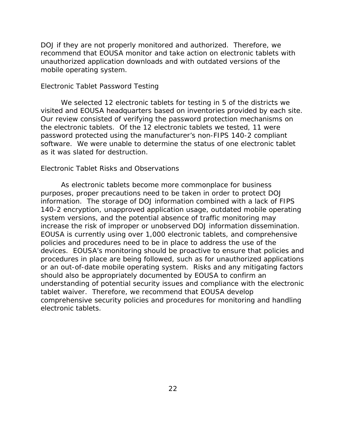<span id="page-27-0"></span> DOJ if they are not properly monitored and authorized. Therefore, we recommend that EOUSA monitor and take action on electronic tablets with unauthorized application downloads and with outdated versions of the mobile operating system.

## *Electronic Tablet Password Testing*

visited and EOUSA headquarters based on inventories provided by each site. software. We were unable to determine the status of one electronic tablet We selected 12 electronic tablets for testing in 5 of the districts we Our review consisted of verifying the password protection mechanisms on the electronic tablets. Of the 12 electronic tablets we tested, 11 were password protected using the manufacturer's non-FIPS 140-2 compliant as it was slated for destruction.

#### *Electronic Tablet Risks and Observations*

increase the risk of improper or unobserved DOJ information dissemination. understanding of potential security issues and compliance with the electronic tablet waiver. Therefore, we recommend that EOUSA develop electronic tablets. As electronic tablets become more commonplace for business purposes, proper precautions need to be taken in order to protect DOJ information. The storage of DOJ information combined with a lack of FIPS 140-2 encryption, unapproved application usage, outdated mobile operating system versions, and the potential absence of traffic monitoring may EOUSA is currently using over 1,000 electronic tablets, and comprehensive policies and procedures need to be in place to address the use of the devices. EOUSA's monitoring should be proactive to ensure that policies and procedures in place are being followed, such as for unauthorized applications or an out-of-date mobile operating system. Risks and any mitigating factors should also be appropriately documented by EOUSA to confirm an comprehensive security policies and procedures for monitoring and handling electronic tablets.<br>
22<br>
22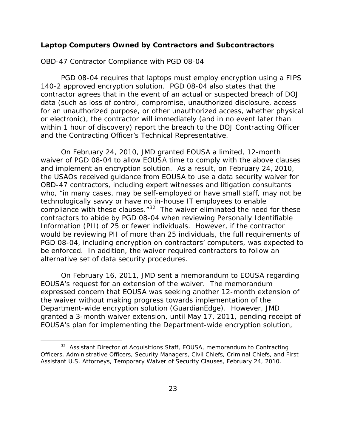#### <span id="page-28-0"></span>**Laptop Computers Owned by Contractors and Subcontractors**

#### *OBD-47 Contractor Compliance with PGD 08-04*

 140-2 approved encryption solution. PGD 08-04 also states that the PGD 08-04 requires that laptops must employ encryption using a FIPS contractor agrees that in the event of an actual or suspected breach of DOJ data (such as loss of control, compromise, unauthorized disclosure, access for an unauthorized purpose, or other unauthorized access, whether physical or electronic), the contractor will immediately (and in no event later than within 1 hour of discovery) report the breach to the DOJ Contracting Officer and the Contracting Officer's Technical Representative.

 waiver of PGD 08-04 to allow EOUSA time to comply with the above clauses and implement an encryption solution. As a result, on February 24, 2010, who, "in many cases, may be self-employed or have small staff, may not be compliance with these clauses. $132$  $132$  The waiver eliminated the need for these be enforced. In addition, the waiver required contractors to follow an On February 24, 2010, JMD granted EOUSA a limited, 12-month the USAOs received guidance from EOUSA to use a data security waiver for OBD-47 contractors, including expert witnesses and litigation consultants technologically savvy or have no in-house IT employees to enable contractors to abide by PGD 08-04 when reviewing Personally Identifiable Information (PII) of 25 or fewer individuals. However, if the contractor would be reviewing PII of more than 25 individuals, the full requirements of PGD 08-04, including encryption on contractors' computers, was expected to alternative set of data security procedures.

 Department-wide encryption solution (GuardianEdge). However, JMD On February 16, 2011, JMD sent a memorandum to EOUSA regarding EOUSA's request for an extension of the waiver. The memorandum expressed concern that EOUSA was seeking another 12-month extension of the waiver without making progress towards implementation of the granted a 3-month waiver extension, until May 17, 2011, pending receipt of EOUSA's plan for implementing the Department-wide encryption solution,

<span id="page-28-1"></span> $32$  Assistant Director of Acquisitions Staff, EOUSA, memorandum to Contracting Officers, Administrative Officers, Security Managers, Civil Chiefs, Criminal Chiefs, and First Assistant U.S. Attorneys, Temporary Waiver of Security Clauses, February 24, 2010.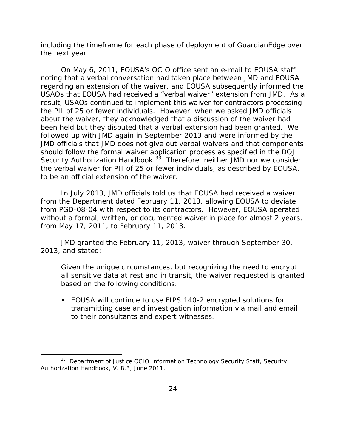including the timeframe for each phase of deployment of GuardianEdge over the next year.

 regarding an extension of the waiver, and EOUSA subsequently informed the the PII of 25 or fewer individuals. However, when we asked JMD officials been held but they disputed that a verbal extension had been granted. We Security Authorization Handbook.<sup>33</sup> Therefore, neither JMD nor we consider to be an official extension of the waiver. On May 6, 2011, EOUSA's OCIO office sent an e-mail to EOUSA staff noting that a verbal conversation had taken place between JMD and EOUSA USAOs that EOUSA had received a "verbal waiver" extension from JMD. As a result, USAOs continued to implement this waiver for contractors processing about the waiver, they acknowledged that a discussion of the waiver had followed up with JMD again in September 2013 and were informed by the JMD officials that JMD does not give out verbal waivers and that components should follow the formal waiver application process as specified in the DOJ the verbal waiver for PII of 25 or fewer individuals, as described by EOUSA,

from May 17, 2011, to February 11, 2013. In July 2013, JMD officials told us that EOUSA had received a waiver from the Department dated February 11, 2013, allowing EOUSA to deviate from PGD-08-04 with respect to its contractors. However, EOUSA operated without a formal, written, or documented waiver in place for almost 2 years,

2013, and stated: JMD granted the February 11, 2013, waiver through September 30,

Given the unique circumstances, but recognizing the need to encrypt all sensitive data at rest and in transit, the waiver requested is granted based on the following conditions:

• EOUSA will continue to use FIPS 140-2 encrypted solutions for transmitting case and investigation information via mail and email to their consultants and expert witnesses.

<span id="page-29-0"></span><sup>&</sup>lt;sup>33</sup> Department of Justice OCIO Information Technology Security Staff, Security Authorization Handbook, V. 8.3, June 2011.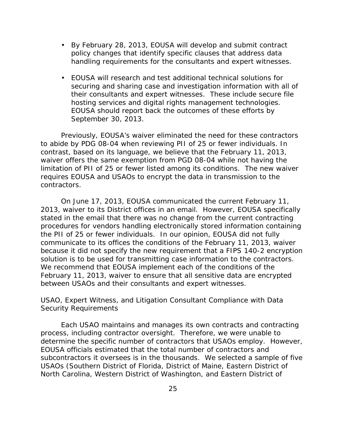- <span id="page-30-0"></span>• By February 28, 2013, EOUSA will develop and submit contract policy changes that identify specific clauses that address data handling requirements for the consultants and expert witnesses.
- • EOUSA will research and test additional technical solutions for securing and sharing case and investigation information with all of their consultants and expert witnesses. These include secure file hosting services and digital rights management technologies. EOUSA should report back the outcomes of these efforts by September 30, 2013.

 contrast, based on its language, we believe that the February 11, 2013, limitation of PII of 25 or fewer listed among its conditions. The new waiver Previously, EOUSA's waiver eliminated the need for these contractors to abide by PDG 08-04 when reviewing PII of 25 or fewer individuals. In waiver offers the same exemption from PGD 08-04 while not having the requires EOUSA and USAOs to encrypt the data in transmission to the contractors.

 the PII of 25 or fewer individuals. In our opinion, EOUSA did not fully On June 17, 2013, EOUSA communicated the current February 11, 2013, waiver to its District offices in an email. However, EOUSA specifically stated in the email that there was no change from the current contracting procedures for vendors handling electronically stored information containing communicate to its offices the conditions of the February 11, 2013, waiver because it did not specify the new requirement that a FIPS 140-2 encryption solution is to be used for transmitting case information to the contractors. We recommend that EOUSA implement each of the conditions of the February 11, 2013, waiver to ensure that all sensitive data are encrypted between USAOs and their consultants and expert witnesses.

## *USAO, Expert Witness, and Litigation Consultant Compliance with Data Security Requirements*

 process, including contractor oversight. Therefore, we were unable to subcontractors it oversees is in the thousands. We selected a sample of five Each USAO maintains and manages its own contracts and contracting determine the specific number of contractors that USAOs employ. However, EOUSA officials estimated that the total number of contractors and USAOs (Southern District of Florida, District of Maine, Eastern District of North Carolina, Western District of Washington, and Eastern District of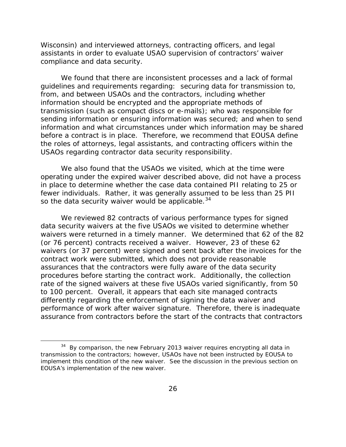compliance and data security. Wisconsin) and interviewed attorneys, contracting officers, and legal assistants in order to evaluate USAO supervision of contractors' waiver

 compliance and data security. We found that there are inconsistent processes and a lack of formal the roles of attorneys, legal assistants, and contracting officers within the USAOs regarding contractor data security responsibility. guidelines and requirements regarding: securing data for transmission to, from, and between USAOs and the contractors, including whether information should be encrypted and the appropriate methods of transmission (such as compact discs or e-mails); who was responsible for sending information or ensuring information was secured; and when to send information and what circumstances under which information may be shared before a contract is in place. Therefore, we recommend that EOUSA define

 fewer individuals. Rather, it was generally assumed to be less than 25 PII so the data security waiver would be applicable.  $34$ We also found that the USAOs we visited, which at the time were operating under the expired waiver described above, did not have a process in place to determine whether the case data contained PII relating to 25 or

 (or 76 percent) contracts received a waiver. However, 23 of these 62 We reviewed 82 contracts of various performance types for signed data security waivers at the five USAOs we visited to determine whether waivers were returned in a timely manner. We determined that 62 of the 82 waivers (or 37 percent) were signed and sent back after the invoices for the contract work were submitted, which does not provide reasonable assurances that the contractors were fully aware of the data security procedures before starting the contract work. Additionally, the collection rate of the signed waivers at these five USAOs varied significantly, from 50 to 100 percent. Overall, it appears that each site managed contracts differently regarding the enforcement of signing the data waiver and performance of work after waiver signature. Therefore, there is inadequate assurance from contractors before the start of the contracts that contractors

<span id="page-31-0"></span> $34$  By comparison, the new February 2013 waiver requires encrypting all data in transmission to the contractors; however, USAOs have not been instructed by EOUSA to implement this condition of the new waiver. See the discussion in the previous section on EOUSA's implementation of the new waiver.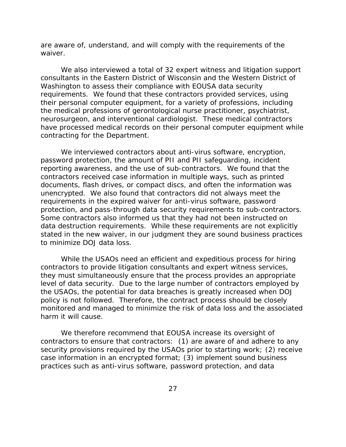are aware of, understand, and will comply with the requirements of the waiver.

 consultants in the Eastern District of Wisconsin and the Western District of neurosurgeon, and interventional cardiologist. These medical contractors contracting for the Department. We also interviewed a total of 32 expert witness and litigation support Washington to assess their compliance with EOUSA data security requirements. We found that these contractors provided services, using their personal computer equipment, for a variety of professions, including the medical professions of gerontological nurse practitioner, psychiatrist, have processed medical records on their personal computer equipment while

 password protection, the amount of PII and PII safeguarding, incident reporting awareness, and the use of sub-contractors. We found that the protection, and pass-through data security requirements to sub-contractors. stated in the new waiver, in our judgment they are sound business practices We interviewed contractors about anti-virus software, encryption, contractors received case information in multiple ways, such as printed documents, flash drives, or compact discs, and often the information was unencrypted. We also found that contractors did not always meet the requirements in the expired waiver for anti-virus software, password Some contractors also informed us that they had not been instructed on data destruction requirements. While these requirements are not explicitly to minimize DOJ data loss.

 level of data security. Due to the large number of contractors employed by monitored and managed to minimize the risk of data loss and the associated harm it will cause. While the USAOs need an efficient and expeditious process for hiring contractors to provide litigation consultants and expert witness services, they must simultaneously ensure that the process provides an appropriate the USAOs, the potential for data breaches is greatly increased when DOJ policy is not followed. Therefore, the contract process should be closely

 practices such as anti-virus software, password protection, and data We therefore recommend that EOUSA increase its oversight of contractors to ensure that contractors: (1) are aware of and adhere to any security provisions required by the USAOs prior to starting work; (2) receive case information in an encrypted format; (3) implement sound business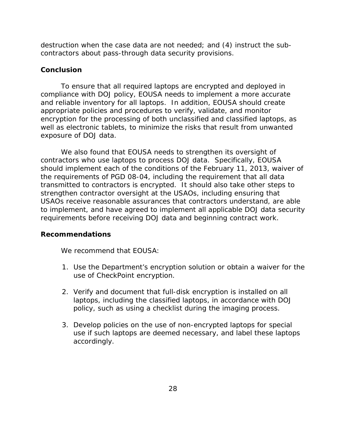<span id="page-33-0"></span>destruction when the case data are not needed; and (4) instruct the subcontractors about pass-through data security provisions.

## **Conclusion**

 compliance with DOJ policy, EOUSA needs to implement a more accurate To ensure that all required laptops are encrypted and deployed in and reliable inventory for all laptops. In addition, EOUSA should create appropriate policies and procedures to verify, validate, and monitor encryption for the processing of both unclassified and classified laptops, as well as electronic tablets, to minimize the risks that result from unwanted exposure of DOJ data.

 requirements before receiving DOJ data and beginning contract work. We also found that EOUSA needs to strengthen its oversight of contractors who use laptops to process DOJ data. Specifically, EOUSA should implement each of the conditions of the February 11, 2013, waiver of the requirements of PGD 08-04, including the requirement that all data transmitted to contractors is encrypted. It should also take other steps to strengthen contractor oversight at the USAOs, including ensuring that USAOs receive reasonable assurances that contractors understand, are able to implement, and have agreed to implement all applicable DOJ data security

## **Recommendations**

We recommend that EOUSA:

- 1. Use the Department's encryption solution or obtain a waiver for the use of CheckPoint encryption.
- 2. Verify and document that full-disk encryption is installed on all laptops, including the classified laptops, in accordance with DOJ policy, such as using a checklist during the imaging process.
- 3. Develop policies on the use of non-encrypted laptops for special use if such laptops are deemed necessary, and label these laptops accordingly.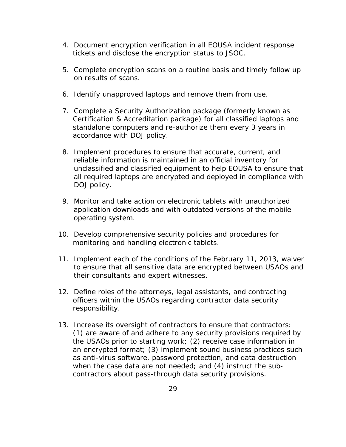- 4. Document encryption verification in all EOUSA incident response tickets and disclose the encryption status to JSOC.
- 5. Complete encryption scans on a routine basis and timely follow up on results of scans.
- 6. Identify unapproved laptops and remove them from use.
- 7. Complete a Security Authorization package (formerly known as Certification & Accreditation package) for all classified laptops and standalone computers and re-authorize them every 3 years in accordance with DOJ policy.
- 8. Implement procedures to ensure that accurate, current, and reliable information is maintained in an official inventory for unclassified and classified equipment to help EOUSA to ensure that all required laptops are encrypted and deployed in compliance with DOJ policy.
- 9. Monitor and take action on electronic tablets with unauthorized application downloads and with outdated versions of the mobile operating system.
- 10. Develop comprehensive security policies and procedures for monitoring and handling electronic tablets.
- 11. Implement each of the conditions of the February 11, 2013, waiver to ensure that all sensitive data are encrypted between USAOs and their consultants and expert witnesses.
- 12. Define roles of the attorneys, legal assistants, and contracting officers within the USAOs regarding contractor data security responsibility.
- 13. Increase its oversight of contractors to ensure that contractors: (1) are aware of and adhere to any security provisions required by the USAOs prior to starting work; (2) receive case information in an encrypted format; (3) implement sound business practices such as anti-virus software, password protection, and data destruction when the case data are not needed; and (4) instruct the subcontractors about pass-through data security provisions.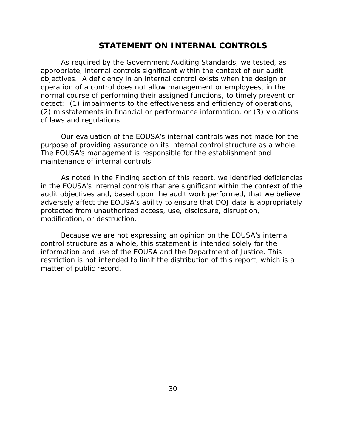## **STATEMENT ON INTERNAL CONTROLS**

<span id="page-35-0"></span> As required by the Government Auditing Standards, we tested, as appropriate, internal controls significant within the context of our audit objectives. A deficiency in an internal control exists when the design or operation of a control does not allow management or employees, in the normal course of performing their assigned functions, to timely prevent or detect: (1) impairments to the effectiveness and efficiency of operations, (2) misstatements in financial or performance information, or (3) violations of laws and regulations.

Our evaluation of the EOUSA's internal controls was not made for the purpose of providing assurance on its internal control structure as a whole. The EOUSA's management is responsible for the establishment and maintenance of internal controls.

As noted in the Finding section of this report, we identified deficiencies in the EOUSA's internal controls that are significant within the context of the audit objectives and, based upon the audit work performed, that we believe adversely affect the EOUSA's ability to ensure that DOJ data is appropriately protected from unauthorized access, use, disclosure, disruption, modification, or destruction.

 restriction is not intended to limit the distribution of this report, which is a Because we are not expressing an opinion on the EOUSA's internal control structure as a whole, this statement is intended solely for the information and use of the EOUSA and the Department of Justice. This matter of public record.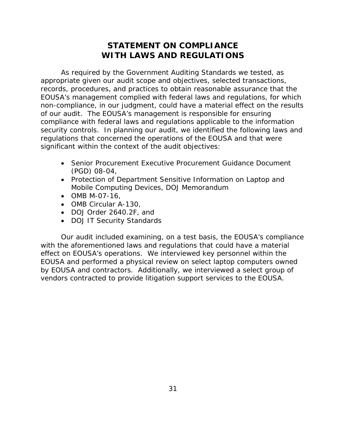# **STATEMENT ON COMPLIANCE WITH LAWS AND REGULATIONS**

<span id="page-36-0"></span> As required by the *Government Auditing Standards* we tested, as appropriate given our audit scope and objectives, selected transactions, records, procedures, and practices to obtain reasonable assurance that the EOUSA's management complied with federal laws and regulations, for which non-compliance, in our judgment, could have a material effect on the results of our audit. The EOUSA's management is responsible for ensuring compliance with federal laws and regulations applicable to the information security controls. In planning our audit, we identified the following laws and regulations that concerned the operations of the EOUSA and that were significant within the context of the audit objectives:

- Senior Procurement Executive Procurement Guidance Document (PGD) 08-04,
- Protection of Department Sensitive Information on Laptop and Mobile Computing Devices, DOJ Memorandum
- OMB M-07-16,
- OMB Circular A-130,
- • DOJ Order 2640.2F, and
- DOJ IT Security Standards

 Our audit included examining, on a test basis, the EOUSA's compliance with the aforementioned laws and regulations that could have a material EOUSA and performed a physical review on select laptop computers owned effect on EOUSA's operations. We interviewed key personnel within the by EOUSA and contractors. Additionally, we interviewed a select group of vendors contracted to provide litigation support services to the EOUSA.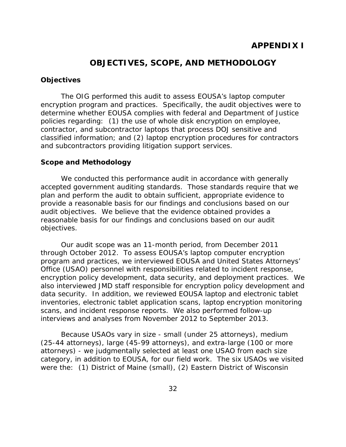## **OBJECTIVES, SCOPE, AND METHODOLOGY**

## <span id="page-37-0"></span>**Objectives**

 determine whether EOUSA complies with federal and Department of Justice The OIG performed this audit to assess EOUSA's laptop computer encryption program and practices. Specifically, the audit objectives were to policies regarding: (1) the use of whole disk encryption on employee, contractor, and subcontractor laptops that process DOJ sensitive and classified information; and (2) laptop encryption procedures for contractors and subcontractors providing litigation support services.

#### **Scope and Methodology**

 reasonable basis for our findings and conclusions based on our audit We conducted this performance audit in accordance with generally accepted government auditing standards. Those standards require that we plan and perform the audit to obtain sufficient, appropriate evidence to provide a reasonable basis for our findings and conclusions based on our audit objectives. We believe that the evidence obtained provides a objectives.

interviews and analyses from November 2012 to September 2013. Our audit scope was an 11-month period, from December 2011 through October 2012. To assess EOUSA's laptop computer encryption program and practices, we interviewed EOUSA and United States Attorneys' Office (USAO) personnel with responsibilities related to incident response, encryption policy development, data security, and deployment practices. We also interviewed JMD staff responsible for encryption policy development and data security. In addition, we reviewed EOUSA laptop and electronic tablet inventories, electronic tablet application scans, laptop encryption monitoring scans, and incident response reports. We also performed follow-up

 were the: (1) District of Maine (small), (2) Eastern District of Wisconsin Because USAOs vary in size - small (under 25 attorneys), medium (25-44 attorneys), large (45-99 attorneys), and extra-large (100 or more attorneys) - we judgmentally selected at least one USAO from each size category, in addition to EOUSA, for our field work. The six USAOs we visited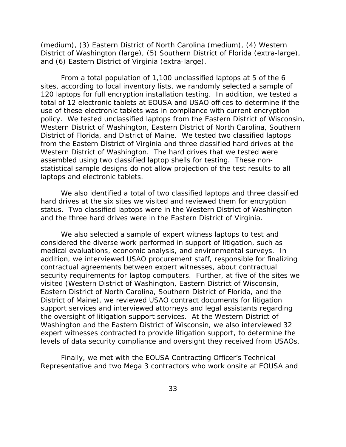(medium), (3) Eastern District of North Carolina (medium), (4) Western District of Washington (large), (5) Southern District of Florida (extra-large), and (6) Eastern District of Virginia (extra-large).

 total of 12 electronic tablets at EOUSA and USAO offices to determine if the assembled using two classified laptop shells for testing. These non-From a total population of 1,100 unclassified laptops at 5 of the 6 sites, according to local inventory lists, we randomly selected a sample of 120 laptops for full encryption installation testing. In addition, we tested a use of these electronic tablets was in compliance with current encryption policy. We tested unclassified laptops from the Eastern District of Wisconsin, Western District of Washington, Eastern District of North Carolina, Southern District of Florida, and District of Maine. We tested two classified laptops from the Eastern District of Virginia and three classified hard drives at the Western District of Washington. The hard drives that we tested were statistical sample designs do not allow projection of the test results to all laptops and electronic tablets.

 We also identified a total of two classified laptops and three classified hard drives at the six sites we visited and reviewed them for encryption status. Two classified laptops were in the Western District of Washington and the three hard drives were in the Eastern District of Virginia.

 Eastern District of North Carolina, Southern District of Florida, and the expert witnesses contracted to provide litigation support, to determine the We also selected a sample of expert witness laptops to test and considered the diverse work performed in support of litigation, such as medical evaluations, economic analysis, and environmental surveys. In addition, we interviewed USAO procurement staff, responsible for finalizing contractual agreements between expert witnesses, about contractual security requirements for laptop computers. Further, at five of the sites we visited (Western District of Washington, Eastern District of Wisconsin, District of Maine), we reviewed USAO contract documents for litigation support services and interviewed attorneys and legal assistants regarding the oversight of litigation support services. At the Western District of Washington and the Eastern District of Wisconsin, we also interviewed 32 levels of data security compliance and oversight they received from USAOs.

Finally, we met with the EOUSA Contracting Officer's Technical Representative and two Mega 3 contractors who work onsite at EOUSA and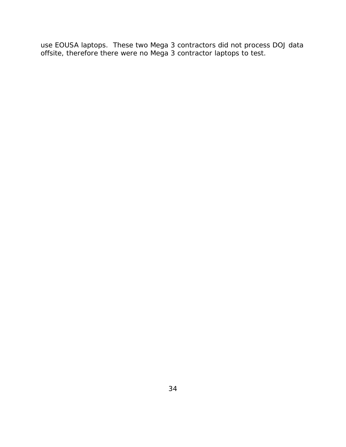use EOUSA laptops. These two Mega 3 contractors did not process DOJ data offsite, therefore there were no Mega 3 contractor laptops to test.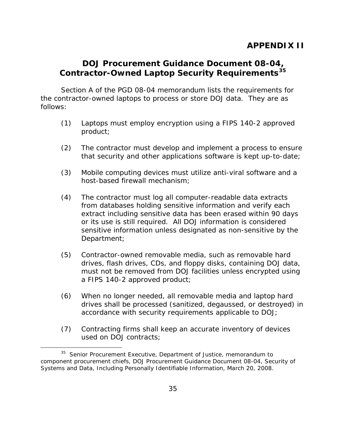# <span id="page-40-0"></span>**DOJ Procurement Guidance Document 08-04, Contractor-Owned Laptop Security Requirements[35](#page-40-1)**

Section A of the PGD 08-04 memorandum lists the requirements for the contractor-owned laptops to process or store DOJ data. They are as follows:

- (1) Laptops must employ encryption using a FIPS 140-2 approved product;
- (2) The contractor must develop and implement a process to ensure that security and other applications software is kept up-to-date;
- (3) Mobile computing devices must utilize anti-viral software and a host-based firewall mechanism;
- (4) The contractor must log all computer-readable data extracts from databases holding sensitive information and verify each extract including sensitive data has been erased within 90 days or its use is still required. All DOJ information is considered sensitive information unless designated as non-sensitive by the Department;
- (5) Contractor-owned removable media, such as removable hard drives, flash drives, CDs, and floppy disks, containing DOJ data, must not be removed from DOJ facilities unless encrypted using a FIPS 140-2 approved product;
- (6) When no longer needed, all removable media and laptop hard drives shall be processed (sanitized, degaussed, or destroyed) in accordance with security requirements applicable to DOJ;
- (7) Contracting firms shall keep an accurate inventory of devices used on DOJ contracts;

l

<span id="page-40-1"></span><sup>&</sup>lt;sup>35</sup> Senior Procurement Executive, Department of Justice, memorandum to component procurement chiefs, DOJ Procurement Guidance Document 08-04, Security of Systems and Data, Including Personally Identifiable Information, March 20, 2008.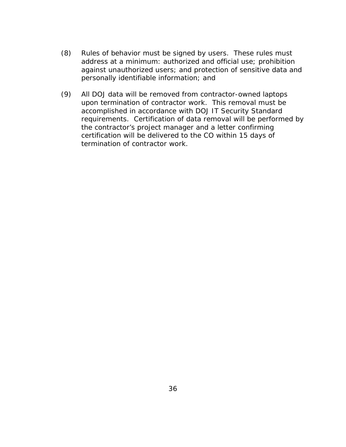- (8) Rules of behavior must be signed by users. These rules must address at a minimum: authorized and official use; prohibition against unauthorized users; and protection of sensitive data and personally identifiable information; and
- upon termination of contractor work. This removal must be (9) All DOJ data will be removed from contractor-owned laptops accomplished in accordance with DOJ IT Security Standard requirements. Certification of data removal will be performed by the contractor's project manager and a letter confirming certification will be delivered to the CO within 15 days of termination of contractor work.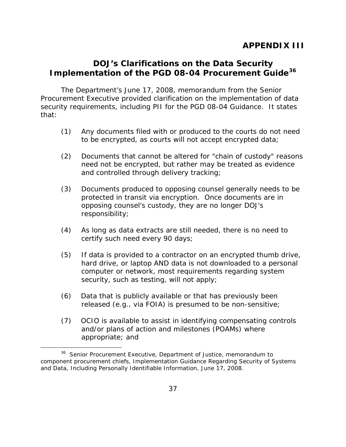# <span id="page-42-0"></span>**DOJ's Clarifications on the Data Security Implementation of the PGD 08-04 Procurement Guide[36](#page-42-1)**

 Procurement Executive provided clarification on the implementation of data The Department's June 17, 2008, memorandum from the Senior security requirements, including PII for the PGD 08-04 Guidance. It states that:

- (1) Any documents filed with or produced to the courts do not need to be encrypted, as courts will not accept encrypted data;
- (2) Documents that cannot be altered for "chain of custody" reasons need not be encrypted, but rather may be treated as evidence and controlled through delivery tracking;
- (3) Documents produced to opposing counsel generally needs to be protected in transit via encryption. Once documents are in opposing counsel's custody, they are no longer DOJ's responsibility;
- (4) As long as data extracts are still needed, there is no need to certify such need every 90 days;
- (5) If data is provided to a contractor on an encrypted thumb drive, hard drive, or laptop AND data is not downloaded to a personal computer or network, most requirements regarding system security, such as testing, will not apply;
- (6) Data that is publicly available or that has previously been released (e.g., via FOIA) is presumed to be non-sensitive;
- (7) OCIO is available to assist in identifying compensating controls and/or plans of action and milestones (POAMs) where appropriate; and

l

<span id="page-42-1"></span><sup>&</sup>lt;sup>36</sup> Senior Procurement Executive, Department of Justice, memorandum to component procurement chiefs, Implementation Guidance Regarding Security of Systems and Data, Including Personally Identifiable Information, June 17, 2008.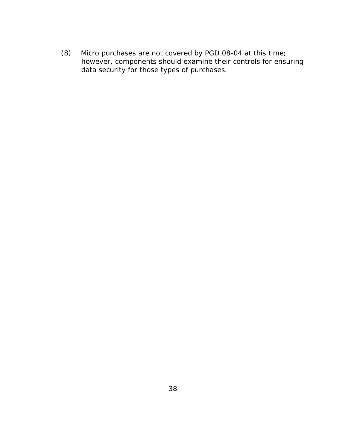$(8)$ Micro purchases are not covered by PGD 08-04 at this time; however, components should examine their controls for ensuring data security for those types of purchases.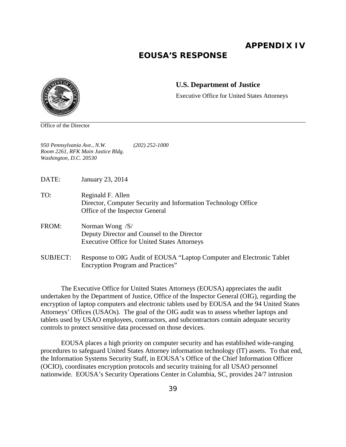**APPENDIX IV** 

# **EOUSA'S RESPONSE**

<span id="page-44-0"></span>

#### **U.S. Department of Justice**

Executive Office for United States Attorneys

Office of the Director

*950 Pennsylvania Ave., N.W. (202) 252-1000 Room 2261, RFK Main Justice Bldg. Washington, D.C. 20530* 

DATE: January 23, 2014

- TO: Reginald F. Allen Director, Computer Security and Information Technology Office Office of the Inspector General
- FROM: Norman Wong /S/ Deputy Director and Counsel to the Director Executive Office for United States Attorneys
- SUBJECT: Response to OIG Audit of EOUSA "Laptop Computer and Electronic Tablet Encryption Program and Practices"

The Executive Office for United States Attorneys (EOUSA) appreciates the audit undertaken by the Department of Justice, Office of the Inspector General (OIG), regarding the encryption of laptop computers and electronic tablets used by EOUSA and the 94 United States Attorneys' Offices (USAOs). The goal of the OIG audit was to assess whether laptops and tablets used by USAO employees, contractors, and subcontractors contain adequate security controls to protect sensitive data processed on those devices.

EOUSA places a high priority on computer security and has established wide-ranging procedures to safeguard United States Attorney information technology (IT) assets. To that end, the Information Systems Security Staff, in EOUSA's Office of the Chief Information Officer (OCIO), coordinates encryption protocols and security training for all USAO personnel nationwide. EOUSA's Security Operations Center in Columbia, SC, provides 24/7 intrusion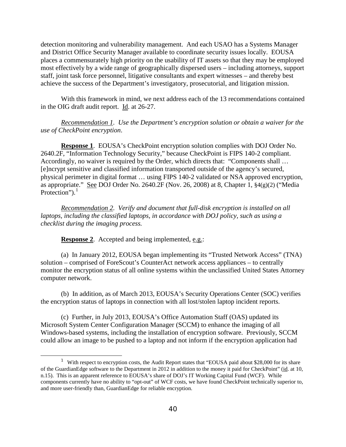most effectively by a wide range of geographically dispersed users – including attorneys, support staff, joint task force personnel, litigative consultants and expert witnesses – and thereby best detection monitoring and vulnerability management. And each USAO has a Systems Manager and District Office Security Manager available to coordinate security issues locally. EOUSA places a commensurately high priority on the usability of IT assets so that they may be employed achieve the success of the Department's investigatory, prosecutorial, and litigation mission.

With this framework in mind, we next address each of the 13 recommendations contained in the OIG draft audit report. Id. at 26-27.

*Recommendation 1. Use the Department's encryption solution or obtain a waiver for the use of CheckPoint encryption*.

**Response 1.** EOUSA's CheckPoint encryption solution complies with DOJ Order No. 2640.2F, "Information Technology Security," because CheckPoint is FIPS 140-2 compliant. Accordingly, no waiver is required by the Order, which directs that: "Components shall … [e]ncrypt sensitive and classified information transported outside of the agency's secured, physical perimeter in digital format … using FIPS 140-2 validated or NSA approved encryption, as appropriate." See DOJ Order No. 2640.2F (Nov. 26, 2008) at 8, Chapter 1, §4(g)(2) ("Media Protection"). $<sup>1</sup>$  $<sup>1</sup>$  $<sup>1</sup>$ </sup>

*Recommendation 2. Verify and document that full-disk encryption is installed on all laptops, including the classified laptops, in accordance with DOJ policy, such as using a checklist during the imaging process.* 

**Response 2**. Accepted and being implemented, e.g.:

l

 (a) In January 2012, EOUSA began implementing its "Trusted Network Access" (TNA) solution – comprised of ForeScout's CounterAct network access appliances – to centrally monitor the encryption status of all online systems within the unclassified United States Attorney computer network.

 (b) In addition, as of March 2013, EOUSA's Security Operations Center (SOC) verifies the encryption status of laptops in connection with all lost/stolen laptop incident reports.

 (c) Further, in July 2013, EOUSA's Office Automation Staff (OAS) updated its Microsoft System Center Configuration Manager (SCCM) to enhance the imaging of all Windows-based systems, including the installation of encryption software. Previously, SCCM could allow an image to be pushed to a laptop and not inform if the encryption application had

<span id="page-45-0"></span><sup>&</sup>lt;sup>1</sup> With respect to encryption costs, the Audit Report states that "EOUSA paid about \$28,000 for its share n.15). This is an apparent reference to EOUSA's share of DOJ's IT Working Capital Fund (WCF). While components currently have no ability to "opt-out" of WCF costs, we have found CheckPoint technically superior to, and more user-friendly than, GuardianEdge for reliable encryption. of the GuardianEdge software to the Department in 2012 in addition to the money it paid for CheckPoint" (id. at 10,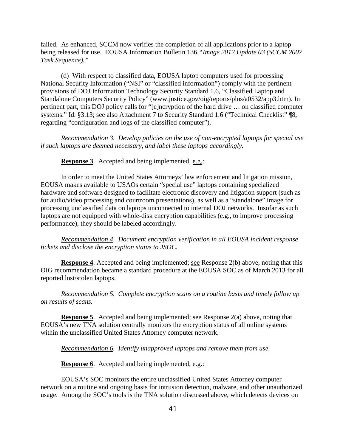being released for use. EOUSA Information Bulletin 136*,"Image 2012 Update 03 (SCCM 2007*  failed. As enhanced, SCCM now verifies the completion of all applications prior to a laptop *Task Sequence)."* 

systems." Id. §3.13; see also Attachment 7 to Security Standard 1.6 ("Technical Checklist" ¶8, (d) With respect to classified data, EOUSA laptop computers used for processing National Security Information ("NSI" or "classified information") comply with the pertinent provisions of DOJ Information Technology Security Standard 1.6, "Classified Laptop and Standalone Computers Security Policy" (www.justice.gov/oig/reports/plus/a0532/app3.htm). In pertinent part, this DOJ policy calls for "[e]ncryption of the hard drive … on classified computer regarding "configuration and logs of the classified computer").

*Recommendation 3. Develop policies on the use of non-encrypted laptops for special use if such laptops are deemed necessary, and label these laptops accordingly.* 

**Response 3**. Accepted and being implemented, e.g.:

 for audio/video processing and courtroom presentations), as well as a "standalone" image for In order to meet the United States Attorneys' law enforcement and litigation mission, EOUSA makes available to USAOs certain "special use" laptops containing specialized hardware and software designed to facilitate electronic discovery and litigation support (such as processing unclassified data on laptops unconnected to internal DOJ networks. Insofar as such laptops are not equipped with whole-disk encryption capabilities (e.g., to improve processing performance), they should be labeled accordingly.

*Recommendation 4. Document encryption verification in all EOUSA incident response tickets and disclose the encryption status to JSOC.* 

 OIG recommendation became a standard procedure at the EOUSA SOC as of March 2013 for all **Response 4.** Accepted and being implemented; see Response 2(b) above, noting that this reported lost/stolen laptops.

*Recommendation 5. Complete encryption scans on a routine basis and timely follow up on results of scans.* 

**Response 5**. Accepted and being implemented; see Response 2(a) above, noting that EOUSA's new TNA solution centrally monitors the encryption status of all online systems within the unclassified United States Attorney computer network.

*Recommendation 6. Identify unapproved laptops and remove them from use.* 

**Response 6.** Accepted and being implemented, e.g.:

EOUSA's SOC monitors the entire unclassified United States Attorney computer network on a routine and ongoing basis for intrusion detection, malware, and other unauthorized usage. Among the SOC's tools is the TNA solution discussed above, which detects devices on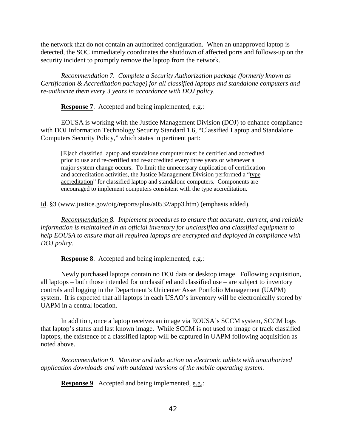the network that do not contain an authorized configuration. When an unapproved laptop is detected, the SOC immediately coordinates the shutdown of affected ports and follows-up on the security incident to promptly remove the laptop from the network.

 *Recommendation 7. Complete a Security Authorization package (formerly known as Certification & Accreditation package) for all classified laptops and standalone computers and re-authorize them every 3 years in accordance with DOJ policy.* 

**Response 7**. Accepted and being implemented, e.g.:

EOUSA is working with the Justice Management Division (DOJ) to enhance compliance with DOJ Information Technology Security Standard 1.6, "Classified Laptop and Standalone Computers Security Policy," which states in pertinent part:

prior to use and re-certified and re-accredited every three years or whenever a major system change occurs. To limit the unnecessary duplication of certification encouraged to implement computers consistent with the type accreditation. [E]ach classified laptop and standalone computer must be certified and accredited and accreditation activities, the Justice Management Division performed a "type accreditation" for classified laptop and standalone computers. Components are

Id. §3 (www.justice.gov/oig/reports/plus/a0532/app3.htm) (emphasis added).

*Recommendation 8. Implement procedures to ensure that accurate, current, and reliable information is maintained in an official inventory for unclassified and classified equipment to help EOUSA to ensure that all required laptops are encrypted and deployed in compliance with DOJ policy.* 

**Response 8**. Accepted and being implemented, e.g.:

 all laptops – both those intended for unclassified and classified use – are subject to inventory system. It is expected that all laptops in each USAO's inventory will be electronically stored by Newly purchased laptops contain no DOJ data or desktop image. Following acquisition, controls and logging in the Department's Unicenter Asset Portfolio Management (UAPM) UAPM in a central location.

In addition, once a laptop receives an image via EOUSA's SCCM system, SCCM logs that laptop's status and last known image. While SCCM is not used to image or track classified laptops, the existence of a classified laptop will be captured in UAPM following acquisition as noted above.

*Recommendation 9. Monitor and take action on electronic tablets with unauthorized application downloads and with outdated versions of the mobile operating system.* 

**Response 9.** Accepted and being implemented, e.g.: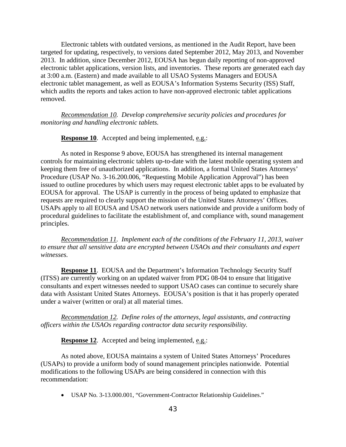electronic tablet applications, version lists, and inventories. These reports are generated each day which audits the reports and takes action to have non-approved electronic tablet applications Electronic tablets with outdated versions, as mentioned in the Audit Report, have been targeted for updating, respectively, to versions dated September 2012, May 2013, and November 2013. In addition, since December 2012, EOUSA has begun daily reporting of non-approved at 3:00 a.m. (Eastern) and made available to all USAO Systems Managers and EOUSA electronic tablet management, as well as EOUSA's Information Systems Security (ISS) Staff, removed.

*Recommendation 10. Develop comprehensive security policies and procedures for monitoring and handling electronic tablets.* 

**Response 10**. Accepted and being implemented, e.g.:

As noted in Response 9 above, EOUSA has strengthened its internal management controls for maintaining electronic tablets up-to-date with the latest mobile operating system and keeping them free of unauthorized applications. In addition, a formal United States Attorneys' Procedure (USAP No. 3-16.200.006, "Requesting Mobile Application Approval") has been issued to outline procedures by which users may request electronic tablet apps to be evaluated by EOUSA for approval. The USAP is currently in the process of being updated to emphasize that requests are required to clearly support the mission of the United States Attorneys' Offices. USAPs apply to all EOUSA and USAO network users nationwide and provide a uniform body of procedural guidelines to facilitate the establishment of, and compliance with, sound management principles.

*Recommendation 11. Implement each of the conditions of the February 11, 2013, waiver to ensure that all sensitive data are encrypted between USAOs and their consultants and expert witnesses.* 

 (ITSS) are currently working on an updated waiver from PDG 08-04 to ensure that litigative **Response 11**. EOUSA and the Department's Information Technology Security Staff consultants and expert witnesses needed to support USAO cases can continue to securely share data with Assistant United States Attorneys. EOUSA's position is that it has properly operated under a waiver (written or oral) at all material times.

*Recommendation 12. Define roles of the attorneys, legal assistants, and contracting officers within the USAOs regarding contractor data security responsibility.* 

**Response 12.** Accepted and being implemented, e.g.:

As noted above, EOUSA maintains a system of United States Attorneys' Procedures (USAPs) to provide a uniform body of sound management principles nationwide. Potential modifications to the following USAPs are being considered in connection with this recommendation:

• USAP No. 3-13.000.001, "Government-Contractor Relationship Guidelines."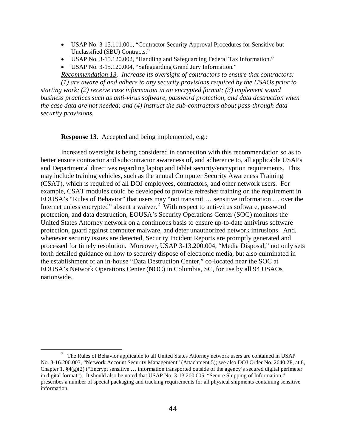- • USAP No. 3-15.111.001, "Contractor Security Approval Procedures for Sensitive but Unclassified (SBU) Contracts."
- USAP No. 3-15.120.002, "Handling and Safeguarding Federal Tax Information."
- USAP No. 3-15.120.004, "Safeguarding Grand Jury Information."

**Recommendation 13.** Increase its oversight of contractors to ensure that contractors: *Recommendation 13. Increase its oversight of contractors to ensure that contractors: (1) are aware of and adhere to any security provisions required by the USAOs prior to* 

 *security provisions. starting work; (2) receive case information in an encrypted format; (3) implement sound business practices such as anti-virus software, password protection, and data destruction when the case data are not needed; and (4) instruct the sub-contractors about pass-through data* 

**Response 13**. Accepted and being implemented, e.g.:

 $\overline{a}$ 

 and Departmental directives regarding laptop and tablet security/encryption requirements. This (CSAT), which is required of all DOJ employees, contractors, and other network users. For Internet unless encrypted" absent a waiver. $2 \text{ With respect to anti-virus software, password}$  $2 \text{ With respect to anti-virus software, password}$  protection, guard against computer malware, and deter unauthorized network intrusions. And, whenever security issues are detected, Security Incident Reports are promptly generated and processed for timely resolution. Moreover, USAP 3-13.200.004, "Media Disposal," not only sets nationwide. Increased oversight is being considered in connection with this recommendation so as to better ensure contractor and subcontractor awareness of, and adherence to, all applicable USAPs may include training vehicles, such as the annual Computer Security Awareness Training example, CSAT modules could be developed to provide refresher training on the requirement in EOUSA's "Rules of Behavior" that users may "not transmit … sensitive information … over the protection, and data destruction, EOUSA's Security Operations Center (SOC) monitors the United States Attorney network on a continuous basis to ensure up-to-date antivirus software forth detailed guidance on how to securely dispose of electronic media, but also culminated in the establishment of an in-house "Data Destruction Center," co-located near the SOC at EOUSA's Network Operations Center (NOC) in Columbia, SC, for use by all 94 USAOs

<span id="page-49-0"></span><sup>&</sup>lt;sup>2</sup> The Rules of Behavior applicable to all United States Attorney network users are contained in USAP Chapter 1,  $\S4(g)(2)$  ("Encrypt sensitive ... information transported outside of the agency's secured digital perimeter information. No. 3-16.200.003, "Network Account Security Management" (Attachment 5); see also DOJ Order No. 2640.2F, at 8, in digital format"). It should also be noted that USAP No. 3-13.200.005, "Secure Shipping of Information," prescribes a number of special packaging and tracking requirements for all physical shipments containing sensitive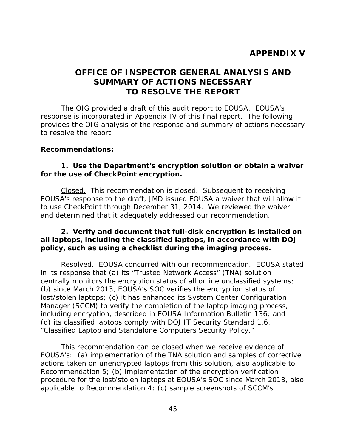# **APPENDIX V**

# <span id="page-50-0"></span> **OFFICE OF INSPECTOR GENERAL ANALYSIS AND SUMMARY OF ACTIONS NECESSARY TO RESOLVE THE REPORT**

The OIG provided a draft of this audit report to EOUSA. EOUSA's response is incorporated in Appendix IV of this final report. The following provides the OIG analysis of the response and summary of actions necessary to resolve the report.

#### **Recommendations:**

## **1. Use the Department's encryption solution or obtain a waiver for the use of CheckPoint encryption.**

Closed. This recommendation is closed. Subsequent to receiving to use CheckPoint through December 31, 2014. We reviewed the waiver EOUSA's response to the draft, JMD issued EOUSA a waiver that will allow it and determined that it adequately addressed our recommendation.

## **2. Verify and document that full-disk encryption is installed on all laptops, including the classified laptops, in accordance with DOJ policy, such as using a checklist during the imaging process.**

Resolved. EOUSA concurred with our recommendation. EOUSA stated in its response that (a) its "Trusted Network Access" (TNA) solution in its response that (a) its "Trusted Network Access" (TNA) solution<br>centrally monitors the encryption status of all online unclassified systems; (b) since March 2013, EOUSA's SOC verifies the encryption status of Manager (SCCM) to verify the completion of the laptop imaging process, lost/stolen laptops; (c) it has enhanced its System Center Configuration including encryption, described in EOUSA Information Bulletin 136; and (d) its classified laptops comply with DOJ IT Security Standard 1.6,

 "Classified Laptop and Standalone Computers Security Policy." This recommendation can be closed when we receive evidence of EOUSA's: (a) implementation of the TNA solution and samples of corrective actions taken on unencrypted laptops from this solution, also applicable to Recommendation 5; (b) implementation of the encryption verification procedure for the lost/stolen laptops at EOUSA's SOC since March 2013, also applicable to Recommendation 4; (c) sample screenshots of SCCM's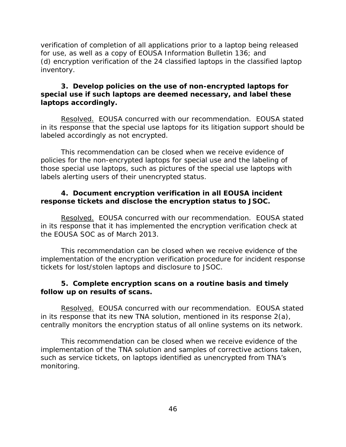inventory. verification of completion of all applications prior to a laptop being released for use, as well as a copy of EOUSA Information Bulletin 136; and (d) encryption verification of the 24 classified laptops in the classified laptop

## **3. Develop policies on the use of non-encrypted laptops for special use if such laptops are deemed necessary, and label these laptops accordingly.**

Resolved. EOUSA concurred with our recommendation. EOUSA stated in its response that the special use laptops for its litigation support should be labeled accordingly as not encrypted.

This recommendation can be closed when we receive evidence of policies for the non-encrypted laptops for special use and the labeling of those special use laptops, such as pictures of the special use laptops with labels alerting users of their unencrypted status.

## **4. Document encryption verification in all EOUSA incident response tickets and disclose the encryption status to JSOC.**

Resolved. EOUSA concurred with our recommendation. EOUSA stated in its response that it has implemented the encryption verification check at the EOUSA SOC as of March 2013.

This recommendation can be closed when we receive evidence of the implementation of the encryption verification procedure for incident response tickets for lost/stolen laptops and disclosure to JSOC.

## **5. Complete encryption scans on a routine basis and timely follow up on results of scans.**

Resolved. EOUSA concurred with our recommendation. EOUSA stated centrally monitors the encryption status of all online systems on its network. in its response that its new TNA solution, mentioned in its response 2(a),

This recommendation can be closed when we receive evidence of the implementation of the TNA solution and samples of corrective actions taken, such as service tickets, on laptops identified as unencrypted from TNA's monitoring.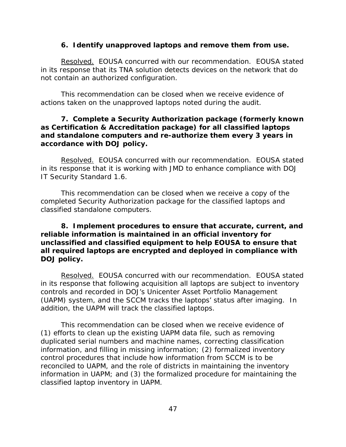## **6. Identify unapproved laptops and remove them from use.**

Resolved. EOUSA concurred with our recommendation. EOUSA stated in its response that its TNA solution detects devices on the network that do not contain an authorized configuration.

This recommendation can be closed when we receive evidence of actions taken on the unapproved laptops noted during the audit.

## **7. Complete a Security Authorization package (formerly known as Certification & Accreditation package) for all classified laptops and standalone computers and re-authorize them every 3 years in accordance with DOJ policy.**

Resolved. EOUSA concurred with our recommendation. EOUSA stated in its response that it is working with JMD to enhance compliance with DOJ IT Security Standard 1.6.

This recommendation can be closed when we receive a copy of the completed Security Authorization package for the classified laptops and classified standalone computers.

## **8. Implement procedures to ensure that accurate, current, and reliable information is maintained in an official inventory for unclassified and classified equipment to help EOUSA to ensure that all required laptops are encrypted and deployed in compliance with DOJ policy.**

Resolved. EOUSA concurred with our recommendation. EOUSA stated in its response that following acquisition all laptops are subject to inventory controls and recorded in DOJ's Unicenter Asset Portfolio Management (UAPM) system, and the SCCM tracks the laptops' status after imaging. In addition, the UAPM will track the classified laptops.

classified laptop inventory in UAPM.<br>47 This recommendation can be closed when we receive evidence of (1) efforts to clean up the existing UAPM data file, such as removing duplicated serial numbers and machine names, correcting classification information, and filling in missing information; (2) formalized inventory control procedures that include how information from SCCM is to be reconciled to UAPM, and the role of districts in maintaining the inventory information in UAPM; and (3) the formalized procedure for maintaining the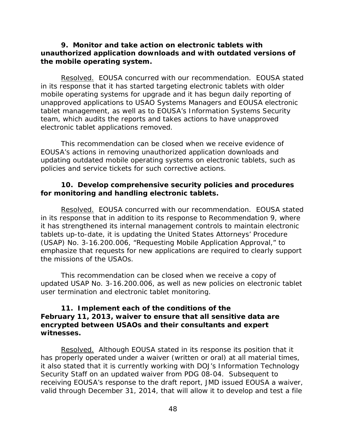## **9. Monitor and take action on electronic tablets with unauthorized application downloads and with outdated versions of the mobile operating system.**

Resolved. EOUSA concurred with our recommendation. EOUSA stated in its response that it has started targeting electronic tablets with older mobile operating systems for upgrade and it has begun daily reporting of unapproved applications to USAO Systems Managers and EOUSA electronic tablet management, as well as to EOUSA's Information Systems Security team, which audits the reports and takes actions to have unapproved electronic tablet applications removed.

 policies and service tickets for such corrective actions. This recommendation can be closed when we receive evidence of EOUSA's actions in removing unauthorized application downloads and updating outdated mobile operating systems on electronic tablets, such as

#### **10. Develop comprehensive security policies and procedures for monitoring and handling electronic tablets.**

Resolved. EOUSA concurred with our recommendation. EOUSA stated it has strengthened its internal management controls to maintain electronic (USAP) No. 3-16.200.006, "Requesting Mobile Application Approval," to in its response that in addition to its response to Recommendation 9, where tablets up-to-date, it is updating the United States Attorneys' Procedure emphasize that requests for new applications are required to clearly support the missions of the USAOs.

 user termination and electronic tablet monitoring. This recommendation can be closed when we receive a copy of updated USAP No. 3-16.200.006, as well as new policies on electronic tablet

## **11. Implement each of the conditions of the February 11, 2013, waiver to ensure that all sensitive data are encrypted between USAOs and their consultants and expert witnesses.**

Resolved. Although EOUSA stated in its response its position that it receiving EOUSA's response to the draft report, JMD issued EOUSA a waiver, has properly operated under a waiver (written or oral) at all material times, it also stated that it is currently working with DOJ's Information Technology Security Staff on an updated waiver from PDG 08-04. Subsequent to valid through December 31, 2014, that will allow it to develop and test a file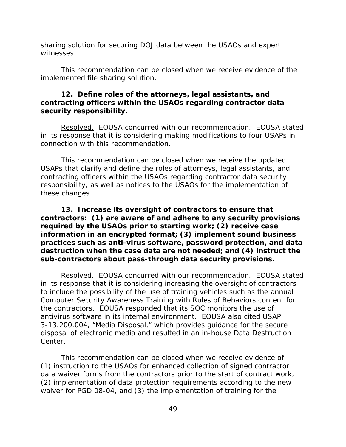sharing solution for securing DOJ data between the USAOs and expert witnesses.

This recommendation can be closed when we receive evidence of the implemented file sharing solution.

## **12. Define roles of the attorneys, legal assistants, and contracting officers within the USAOs regarding contractor data security responsibility.**

Resolved. EOUSA concurred with our recommendation. EOUSA stated in its response that it is considering making modifications to four USAPs in connection with this recommendation.

This recommendation can be closed when we receive the updated USAPs that clarify and define the roles of attorneys, legal assistants, and contracting officers within the USAOs regarding contractor data security responsibility, as well as notices to the USAOs for the implementation of these changes.

 **13. Increase its oversight of contractors to ensure that contractors: (1) are aware of and adhere to any security provisions required by the USAOs prior to starting work; (2) receive case information in an encrypted format; (3) implement sound business practices such as anti-virus software, password protection, and data destruction when the case data are not needed; and (4) instruct the sub-contractors about pass-through data security provisions.** 

Resolved. EOUSA concurred with our recommendation. EOUSA stated in its response that it is considering increasing the oversight of contractors to include the possibility of the use of training vehicles such as the annual Computer Security Awareness Training with Rules of Behaviors content for the contractors. EOUSA responded that its SOC monitors the use of antivirus software in its internal environment. EOUSA also cited USAP 3-13.200.004, "Media Disposal," which provides guidance for the secure disposal of electronic media and resulted in an in-house Data Destruction Center.

 (2) implementation of data protection requirements according to the new This recommendation can be closed when we receive evidence of (1) instruction to the USAOs for enhanced collection of signed contractor data waiver forms from the contractors prior to the start of contract work, waiver for PGD 08-04, and (3) the implementation of training for the